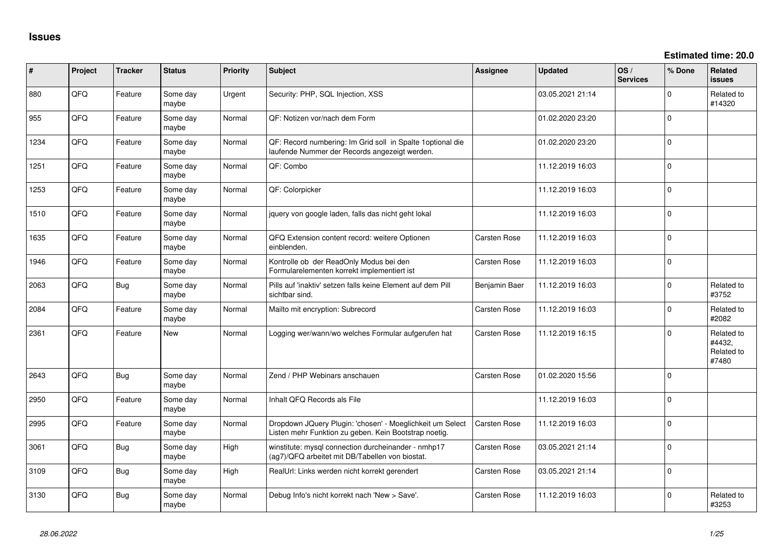**Estimated time: 20.0**

| #    | Project | <b>Tracker</b> | <b>Status</b>     | <b>Priority</b> | <b>Subject</b>                                                                                                     | <b>Assignee</b>     | <b>Updated</b>   | OS/<br><b>Services</b> | % Done   | <b>Related</b><br>issues                    |
|------|---------|----------------|-------------------|-----------------|--------------------------------------------------------------------------------------------------------------------|---------------------|------------------|------------------------|----------|---------------------------------------------|
| 880  | QFQ     | Feature        | Some day<br>maybe | Urgent          | Security: PHP, SQL Injection, XSS                                                                                  |                     | 03.05.2021 21:14 |                        | $\Omega$ | Related to<br>#14320                        |
| 955  | QFQ     | Feature        | Some day<br>maybe | Normal          | QF: Notizen vor/nach dem Form                                                                                      |                     | 01.02.2020 23:20 |                        | $\Omega$ |                                             |
| 1234 | QFQ     | Feature        | Some day<br>maybe | Normal          | QF: Record numbering: Im Grid soll in Spalte 1optional die<br>laufende Nummer der Records angezeigt werden.        |                     | 01.02.2020 23:20 |                        | $\Omega$ |                                             |
| 1251 | QFQ     | Feature        | Some day<br>maybe | Normal          | QF: Combo                                                                                                          |                     | 11.12.2019 16:03 |                        | $\Omega$ |                                             |
| 1253 | QFQ     | Feature        | Some day<br>maybe | Normal          | QF: Colorpicker                                                                                                    |                     | 11.12.2019 16:03 |                        | $\Omega$ |                                             |
| 1510 | QFQ     | Feature        | Some day<br>maybe | Normal          | jquery von google laden, falls das nicht geht lokal                                                                |                     | 11.12.2019 16:03 |                        | $\Omega$ |                                             |
| 1635 | QFQ     | Feature        | Some day<br>maybe | Normal          | QFQ Extension content record: weitere Optionen<br>einblenden.                                                      | <b>Carsten Rose</b> | 11.12.2019 16:03 |                        | $\Omega$ |                                             |
| 1946 | QFQ     | Feature        | Some day<br>maybe | Normal          | Kontrolle ob der ReadOnly Modus bei den<br>Formularelementen korrekt implementiert ist                             | <b>Carsten Rose</b> | 11.12.2019 16:03 |                        | $\Omega$ |                                             |
| 2063 | QFQ     | Bug            | Some day<br>maybe | Normal          | Pills auf 'inaktiv' setzen falls keine Element auf dem Pill<br>sichtbar sind.                                      | Benjamin Baer       | 11.12.2019 16:03 |                        | $\Omega$ | Related to<br>#3752                         |
| 2084 | QFQ     | Feature        | Some day<br>maybe | Normal          | Mailto mit encryption: Subrecord                                                                                   | <b>Carsten Rose</b> | 11.12.2019 16:03 |                        | $\Omega$ | Related to<br>#2082                         |
| 2361 | QFQ     | Feature        | New               | Normal          | Logging wer/wann/wo welches Formular aufgerufen hat                                                                | <b>Carsten Rose</b> | 11.12.2019 16:15 |                        | $\Omega$ | Related to<br>#4432,<br>Related to<br>#7480 |
| 2643 | QFQ     | Bug            | Some day<br>maybe | Normal          | Zend / PHP Webinars anschauen                                                                                      | <b>Carsten Rose</b> | 01.02.2020 15:56 |                        | $\Omega$ |                                             |
| 2950 | QFQ     | Feature        | Some day<br>maybe | Normal          | Inhalt QFQ Records als File                                                                                        |                     | 11.12.2019 16:03 |                        | $\Omega$ |                                             |
| 2995 | QFQ     | Feature        | Some day<br>maybe | Normal          | Dropdown JQuery Plugin: 'chosen' - Moeglichkeit um Select<br>Listen mehr Funktion zu geben. Kein Bootstrap noetig. | <b>Carsten Rose</b> | 11.12.2019 16:03 |                        | $\Omega$ |                                             |
| 3061 | QFQ     | <b>Bug</b>     | Some day<br>maybe | High            | winstitute: mysql connection durcheinander - nmhp17<br>(ag7)/QFQ arbeitet mit DB/Tabellen von biostat.             | <b>Carsten Rose</b> | 03.05.2021 21:14 |                        | $\Omega$ |                                             |
| 3109 | QFQ     | Bug            | Some day<br>maybe | High            | RealUrl: Links werden nicht korrekt gerendert                                                                      | <b>Carsten Rose</b> | 03.05.2021 21:14 |                        | $\Omega$ |                                             |
| 3130 | QFQ     | Bug            | Some day<br>maybe | Normal          | Debug Info's nicht korrekt nach 'New > Save'.                                                                      | <b>Carsten Rose</b> | 11.12.2019 16:03 |                        | $\Omega$ | Related to<br>#3253                         |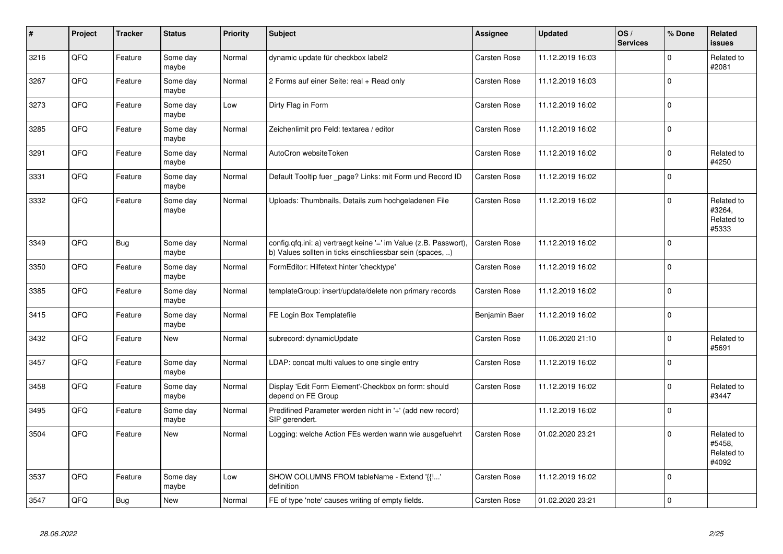| $\vert$ # | <b>Project</b> | <b>Tracker</b> | <b>Status</b>     | <b>Priority</b> | <b>Subject</b>                                                                                                                | Assignee            | <b>Updated</b>   | OS/<br><b>Services</b> | % Done      | Related<br><b>issues</b>                    |
|-----------|----------------|----------------|-------------------|-----------------|-------------------------------------------------------------------------------------------------------------------------------|---------------------|------------------|------------------------|-------------|---------------------------------------------|
| 3216      | QFQ            | Feature        | Some day<br>maybe | Normal          | dynamic update für checkbox label2                                                                                            | <b>Carsten Rose</b> | 11.12.2019 16:03 |                        | $\Omega$    | Related to<br>#2081                         |
| 3267      | QFQ            | Feature        | Some day<br>maybe | Normal          | 2 Forms auf einer Seite: real + Read only                                                                                     | Carsten Rose        | 11.12.2019 16:03 |                        | $\Omega$    |                                             |
| 3273      | QFQ            | Feature        | Some day<br>maybe | Low             | Dirty Flag in Form                                                                                                            | <b>Carsten Rose</b> | 11.12.2019 16:02 |                        | $\Omega$    |                                             |
| 3285      | QFQ            | Feature        | Some day<br>maybe | Normal          | Zeichenlimit pro Feld: textarea / editor                                                                                      | <b>Carsten Rose</b> | 11.12.2019 16:02 |                        | $\Omega$    |                                             |
| 3291      | QFQ            | Feature        | Some day<br>maybe | Normal          | AutoCron websiteToken                                                                                                         | <b>Carsten Rose</b> | 11.12.2019 16:02 |                        | $\Omega$    | Related to<br>#4250                         |
| 3331      | QFQ            | Feature        | Some day<br>maybe | Normal          | Default Tooltip fuer page? Links: mit Form und Record ID                                                                      | <b>Carsten Rose</b> | 11.12.2019 16:02 |                        | $\Omega$    |                                             |
| 3332      | QFQ            | Feature        | Some day<br>maybe | Normal          | Uploads: Thumbnails, Details zum hochgeladenen File                                                                           | Carsten Rose        | 11.12.2019 16:02 |                        | $\Omega$    | Related to<br>#3264,<br>Related to<br>#5333 |
| 3349      | QFQ            | Bug            | Some day<br>maybe | Normal          | config.qfq.ini: a) vertraegt keine '=' im Value (z.B. Passwort),<br>b) Values sollten in ticks einschliessbar sein (spaces, ) | <b>Carsten Rose</b> | 11.12.2019 16:02 |                        | $\Omega$    |                                             |
| 3350      | QFQ            | Feature        | Some day<br>maybe | Normal          | FormEditor: Hilfetext hinter 'checktype'                                                                                      | <b>Carsten Rose</b> | 11.12.2019 16:02 |                        | $\mathbf 0$ |                                             |
| 3385      | QFQ            | Feature        | Some day<br>maybe | Normal          | templateGroup: insert/update/delete non primary records                                                                       | Carsten Rose        | 11.12.2019 16:02 |                        | $\Omega$    |                                             |
| 3415      | QFQ            | Feature        | Some day<br>maybe | Normal          | FE Login Box Templatefile                                                                                                     | Benjamin Baer       | 11.12.2019 16:02 |                        | $\Omega$    |                                             |
| 3432      | QFQ            | Feature        | <b>New</b>        | Normal          | subrecord: dynamicUpdate                                                                                                      | <b>Carsten Rose</b> | 11.06.2020 21:10 |                        | $\Omega$    | Related to<br>#5691                         |
| 3457      | QFQ            | Feature        | Some day<br>maybe | Normal          | LDAP: concat multi values to one single entry                                                                                 | Carsten Rose        | 11.12.2019 16:02 |                        | $\Omega$    |                                             |
| 3458      | QFQ            | Feature        | Some day<br>maybe | Normal          | Display 'Edit Form Element'-Checkbox on form: should<br>depend on FE Group                                                    | <b>Carsten Rose</b> | 11.12.2019 16:02 |                        | $\Omega$    | Related to<br>#3447                         |
| 3495      | QFQ            | Feature        | Some day<br>maybe | Normal          | Predifined Parameter werden nicht in '+' (add new record)<br>SIP gerendert.                                                   |                     | 11.12.2019 16:02 |                        | $\mathbf 0$ |                                             |
| 3504      | QFQ            | Feature        | <b>New</b>        | Normal          | Logging: welche Action FEs werden wann wie ausgefuehrt                                                                        | <b>Carsten Rose</b> | 01.02.2020 23:21 |                        | $\Omega$    | Related to<br>#5458.<br>Related to<br>#4092 |
| 3537      | QFQ            | Feature        | Some day<br>maybe | Low             | SHOW COLUMNS FROM tableName - Extend '{{!'<br>definition                                                                      | Carsten Rose        | 11.12.2019 16:02 |                        | $\Omega$    |                                             |
| 3547      | QFQ            | <b>Bug</b>     | <b>New</b>        | Normal          | FE of type 'note' causes writing of empty fields.                                                                             | <b>Carsten Rose</b> | 01.02.2020 23:21 |                        | $\Omega$    |                                             |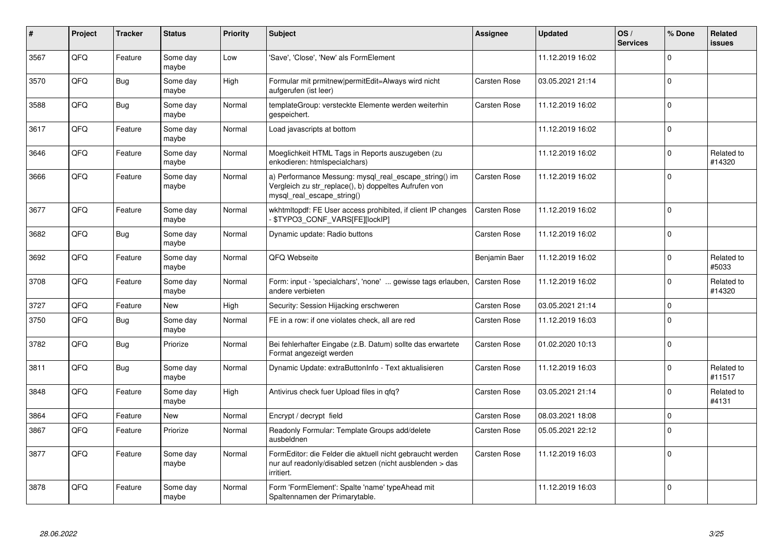| #    | Project | <b>Tracker</b> | <b>Status</b>     | <b>Priority</b> | <b>Subject</b>                                                                                                                               | <b>Assignee</b>     | <b>Updated</b>   | OS/<br><b>Services</b> | % Done   | Related<br><b>issues</b> |
|------|---------|----------------|-------------------|-----------------|----------------------------------------------------------------------------------------------------------------------------------------------|---------------------|------------------|------------------------|----------|--------------------------|
| 3567 | QFQ     | Feature        | Some day<br>maybe | Low             | 'Save', 'Close', 'New' als FormElement                                                                                                       |                     | 11.12.2019 16:02 |                        | $\Omega$ |                          |
| 3570 | QFQ     | Bug            | Some day<br>maybe | High            | Formular mit prmitnew permitEdit=Always wird nicht<br>aufgerufen (ist leer)                                                                  | <b>Carsten Rose</b> | 03.05.2021 21:14 |                        | $\Omega$ |                          |
| 3588 | QFQ     | <b>Bug</b>     | Some day<br>maybe | Normal          | templateGroup: versteckte Elemente werden weiterhin<br>gespeichert.                                                                          | <b>Carsten Rose</b> | 11.12.2019 16:02 |                        | $\Omega$ |                          |
| 3617 | QFQ     | Feature        | Some day<br>maybe | Normal          | Load javascripts at bottom                                                                                                                   |                     | 11.12.2019 16:02 |                        | $\Omega$ |                          |
| 3646 | QFQ     | Feature        | Some day<br>maybe | Normal          | Moeglichkeit HTML Tags in Reports auszugeben (zu<br>enkodieren: htmlspecialchars)                                                            |                     | 11.12.2019 16:02 |                        | $\Omega$ | Related to<br>#14320     |
| 3666 | QFQ     | Feature        | Some day<br>maybe | Normal          | a) Performance Messung: mysql_real_escape_string() im<br>Vergleich zu str replace(), b) doppeltes Aufrufen von<br>mysgl real escape string() | <b>Carsten Rose</b> | 11.12.2019 16:02 |                        | $\Omega$ |                          |
| 3677 | QFQ     | Feature        | Some day<br>maybe | Normal          | wkhtmltopdf: FE User access prohibited, if client IP changes<br>\$TYPO3 CONF VARS[FE][lockIP]                                                | <b>Carsten Rose</b> | 11.12.2019 16:02 |                        | $\Omega$ |                          |
| 3682 | QFQ     | Bug            | Some day<br>maybe | Normal          | Dynamic update: Radio buttons                                                                                                                | <b>Carsten Rose</b> | 11.12.2019 16:02 |                        | $\Omega$ |                          |
| 3692 | QFQ     | Feature        | Some day<br>maybe | Normal          | QFQ Webseite                                                                                                                                 | Benjamin Baer       | 11.12.2019 16:02 |                        | $\Omega$ | Related to<br>#5033      |
| 3708 | QFQ     | Feature        | Some day<br>maybe | Normal          | Form: input - 'specialchars', 'none'  gewisse tags erlauben,<br>andere verbieten                                                             | Carsten Rose        | 11.12.2019 16:02 |                        | $\Omega$ | Related to<br>#14320     |
| 3727 | QFQ     | Feature        | <b>New</b>        | High            | Security: Session Hijacking erschweren                                                                                                       | <b>Carsten Rose</b> | 03.05.2021 21:14 |                        | $\Omega$ |                          |
| 3750 | QFQ     | Bug            | Some day<br>maybe | Normal          | FE in a row: if one violates check, all are red                                                                                              | <b>Carsten Rose</b> | 11.12.2019 16:03 |                        | $\Omega$ |                          |
| 3782 | QFQ     | Bug            | Priorize          | Normal          | Bei fehlerhafter Eingabe (z.B. Datum) sollte das erwartete<br>Format angezeigt werden                                                        | <b>Carsten Rose</b> | 01.02.2020 10:13 |                        | $\Omega$ |                          |
| 3811 | QFQ     | <b>Bug</b>     | Some day<br>maybe | Normal          | Dynamic Update: extraButtonInfo - Text aktualisieren                                                                                         | <b>Carsten Rose</b> | 11.12.2019 16:03 |                        | $\Omega$ | Related to<br>#11517     |
| 3848 | QFQ     | Feature        | Some day<br>maybe | High            | Antivirus check fuer Upload files in qfq?                                                                                                    | Carsten Rose        | 03.05.2021 21:14 |                        | $\Omega$ | Related to<br>#4131      |
| 3864 | QFQ     | Feature        | <b>New</b>        | Normal          | Encrypt / decrypt field                                                                                                                      | <b>Carsten Rose</b> | 08.03.2021 18:08 |                        | $\Omega$ |                          |
| 3867 | QFQ     | Feature        | Priorize          | Normal          | Readonly Formular: Template Groups add/delete<br>ausbeldnen                                                                                  | Carsten Rose        | 05.05.2021 22:12 |                        | $\Omega$ |                          |
| 3877 | QFQ     | Feature        | Some day<br>maybe | Normal          | FormEditor: die Felder die aktuell nicht gebraucht werden<br>nur auf readonly/disabled setzen (nicht ausblenden > das<br>irritiert.          | <b>Carsten Rose</b> | 11.12.2019 16:03 |                        | $\Omega$ |                          |
| 3878 | QFQ     | Feature        | Some day<br>maybe | Normal          | Form 'FormElement': Spalte 'name' typeAhead mit<br>Spaltennamen der Primarytable.                                                            |                     | 11.12.2019 16:03 |                        | $\Omega$ |                          |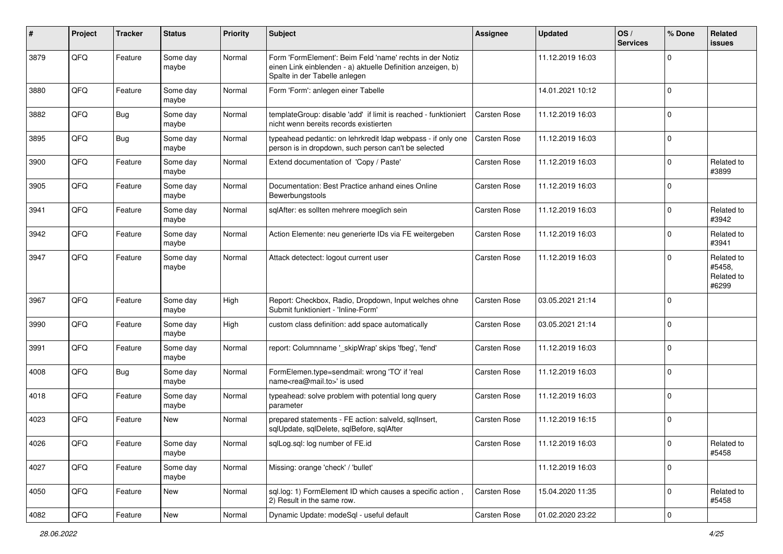| #    | Project | <b>Tracker</b> | <b>Status</b>     | <b>Priority</b> | <b>Subject</b>                                                                                                                                           | <b>Assignee</b>     | <b>Updated</b>   | OS/<br><b>Services</b> | % Done      | Related<br>issues                           |
|------|---------|----------------|-------------------|-----------------|----------------------------------------------------------------------------------------------------------------------------------------------------------|---------------------|------------------|------------------------|-------------|---------------------------------------------|
| 3879 | QFQ     | Feature        | Some day<br>maybe | Normal          | Form 'FormElement': Beim Feld 'name' rechts in der Notiz<br>einen Link einblenden - a) aktuelle Definition anzeigen, b)<br>Spalte in der Tabelle anlegen |                     | 11.12.2019 16:03 |                        | $\Omega$    |                                             |
| 3880 | QFQ     | Feature        | Some day<br>maybe | Normal          | Form 'Form': anlegen einer Tabelle                                                                                                                       |                     | 14.01.2021 10:12 |                        | $\Omega$    |                                             |
| 3882 | QFQ     | <b>Bug</b>     | Some day<br>maybe | Normal          | templateGroup: disable 'add' if limit is reached - funktioniert<br>nicht wenn bereits records existierten                                                | <b>Carsten Rose</b> | 11.12.2019 16:03 |                        | $\Omega$    |                                             |
| 3895 | QFQ     | Bug            | Some day<br>maybe | Normal          | typeahead pedantic: on lehrkredit Idap webpass - if only one<br>person is in dropdown, such person can't be selected                                     | <b>Carsten Rose</b> | 11.12.2019 16:03 |                        | $\Omega$    |                                             |
| 3900 | QFQ     | Feature        | Some day<br>maybe | Normal          | Extend documentation of 'Copy / Paste'                                                                                                                   | <b>Carsten Rose</b> | 11.12.2019 16:03 |                        | $\Omega$    | Related to<br>#3899                         |
| 3905 | QFQ     | Feature        | Some day<br>maybe | Normal          | Documentation: Best Practice anhand eines Online<br>Bewerbungstools                                                                                      | <b>Carsten Rose</b> | 11.12.2019 16:03 |                        | $\Omega$    |                                             |
| 3941 | QFQ     | Feature        | Some day<br>maybe | Normal          | sqlAfter: es sollten mehrere moeglich sein                                                                                                               | <b>Carsten Rose</b> | 11.12.2019 16:03 |                        | $\Omega$    | Related to<br>#3942                         |
| 3942 | QFQ     | Feature        | Some day<br>maybe | Normal          | Action Elemente: neu generierte IDs via FE weitergeben                                                                                                   | <b>Carsten Rose</b> | 11.12.2019 16:03 |                        | $\Omega$    | Related to<br>#3941                         |
| 3947 | QFQ     | Feature        | Some day<br>maybe | Normal          | Attack detectect: logout current user                                                                                                                    | <b>Carsten Rose</b> | 11.12.2019 16:03 |                        | $\Omega$    | Related to<br>#5458,<br>Related to<br>#6299 |
| 3967 | QFQ     | Feature        | Some day<br>maybe | High            | Report: Checkbox, Radio, Dropdown, Input welches ohne<br>Submit funktioniert - 'Inline-Form'                                                             | Carsten Rose        | 03.05.2021 21:14 |                        | $\Omega$    |                                             |
| 3990 | QFQ     | Feature        | Some day<br>maybe | High            | custom class definition: add space automatically                                                                                                         | <b>Carsten Rose</b> | 03.05.2021 21:14 |                        | $\Omega$    |                                             |
| 3991 | QFQ     | Feature        | Some day<br>maybe | Normal          | report: Columnname '_skipWrap' skips 'fbeg', 'fend'                                                                                                      | <b>Carsten Rose</b> | 11.12.2019 16:03 |                        | $\mathbf 0$ |                                             |
| 4008 | QFQ     | Bug            | Some day<br>maybe | Normal          | FormElemen.type=sendmail: wrong 'TO' if 'real<br>name <rea@mail.to>' is used</rea@mail.to>                                                               | <b>Carsten Rose</b> | 11.12.2019 16:03 |                        | $\Omega$    |                                             |
| 4018 | QFQ     | Feature        | Some day<br>maybe | Normal          | typeahead: solve problem with potential long query<br>parameter                                                                                          | <b>Carsten Rose</b> | 11.12.2019 16:03 |                        | 0           |                                             |
| 4023 | QFQ     | Feature        | New               | Normal          | prepared statements - FE action: salveld, sqlInsert,<br>sqlUpdate, sqlDelete, sqlBefore, sqlAfter                                                        | <b>Carsten Rose</b> | 11.12.2019 16:15 |                        | $\Omega$    |                                             |
| 4026 | QFQ     | Feature        | Some day<br>maybe | Normal          | sqlLog.sql: log number of FE.id                                                                                                                          | Carsten Rose        | 11.12.2019 16:03 |                        | $\pmb{0}$   | Related to<br>#5458                         |
| 4027 | QFQ     | Feature        | Some day<br>maybe | Normal          | Missing: orange 'check' / 'bullet'                                                                                                                       |                     | 11.12.2019 16:03 |                        | 0           |                                             |
| 4050 | QFQ     | Feature        | New               | Normal          | sql.log: 1) FormElement ID which causes a specific action,<br>2) Result in the same row.                                                                 | Carsten Rose        | 15.04.2020 11:35 |                        | $\mathbf 0$ | Related to<br>#5458                         |
| 4082 | QFQ     | Feature        | New               | Normal          | Dynamic Update: modeSql - useful default                                                                                                                 | Carsten Rose        | 01.02.2020 23:22 |                        | $\mathbf 0$ |                                             |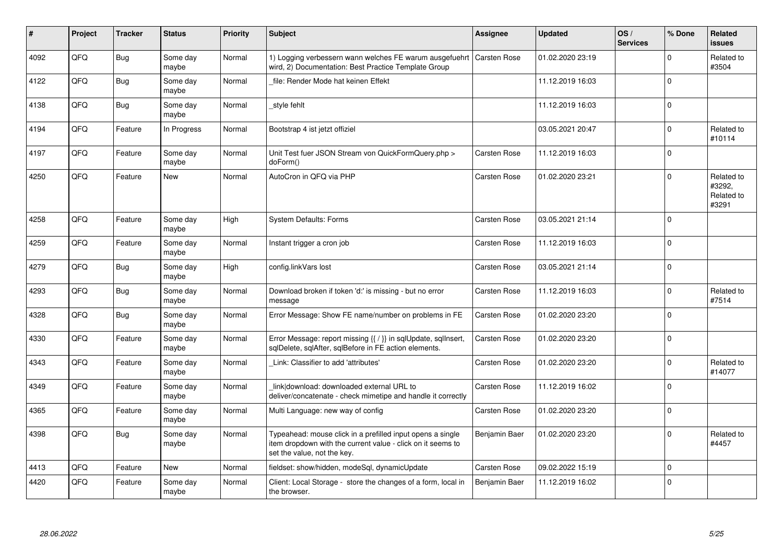| ∦    | Project    | <b>Tracker</b> | <b>Status</b>     | <b>Priority</b> | <b>Subject</b>                                                                                                                                           | Assignee            | <b>Updated</b>   | OS/<br><b>Services</b> | % Done      | Related<br><b>issues</b>                    |
|------|------------|----------------|-------------------|-----------------|----------------------------------------------------------------------------------------------------------------------------------------------------------|---------------------|------------------|------------------------|-------------|---------------------------------------------|
| 4092 | QFQ        | Bug            | Some day<br>maybe | Normal          | 1) Logging verbessern wann welches FE warum ausgefuehrt<br>wird, 2) Documentation: Best Practice Template Group                                          | <b>Carsten Rose</b> | 01.02.2020 23:19 |                        | $\Omega$    | Related to<br>#3504                         |
| 4122 | QFQ        | <b>Bug</b>     | Some day<br>maybe | Normal          | file: Render Mode hat keinen Effekt                                                                                                                      |                     | 11.12.2019 16:03 |                        | $\Omega$    |                                             |
| 4138 | QFQ        | Bug            | Some day<br>maybe | Normal          | style fehlt                                                                                                                                              |                     | 11.12.2019 16:03 |                        | $\mathbf 0$ |                                             |
| 4194 | QFQ        | Feature        | In Progress       | Normal          | Bootstrap 4 ist jetzt offiziel                                                                                                                           |                     | 03.05.2021 20:47 |                        | $\Omega$    | Related to<br>#10114                        |
| 4197 | QFQ        | Feature        | Some day<br>maybe | Normal          | Unit Test fuer JSON Stream von QuickFormQuery.php ><br>doForm()                                                                                          | <b>Carsten Rose</b> | 11.12.2019 16:03 |                        | $\Omega$    |                                             |
| 4250 | QFQ        | Feature        | <b>New</b>        | Normal          | AutoCron in QFQ via PHP                                                                                                                                  | <b>Carsten Rose</b> | 01.02.2020 23:21 |                        | $\Omega$    | Related to<br>#3292.<br>Related to<br>#3291 |
| 4258 | QFQ        | Feature        | Some day<br>maybe | High            | <b>System Defaults: Forms</b>                                                                                                                            | <b>Carsten Rose</b> | 03.05.2021 21:14 |                        | $\Omega$    |                                             |
| 4259 | QFQ        | Feature        | Some day<br>maybe | Normal          | Instant trigger a cron job                                                                                                                               | <b>Carsten Rose</b> | 11.12.2019 16:03 |                        | $\mathbf 0$ |                                             |
| 4279 | QFQ        | Bug            | Some day<br>maybe | High            | config.linkVars lost                                                                                                                                     | <b>Carsten Rose</b> | 03.05.2021 21:14 |                        | $\Omega$    |                                             |
| 4293 | QFQ        | Bug            | Some day<br>maybe | Normal          | Download broken if token 'd:' is missing - but no error<br>message                                                                                       | <b>Carsten Rose</b> | 11.12.2019 16:03 |                        | $\Omega$    | Related to<br>#7514                         |
| 4328 | <b>OFO</b> | Bug            | Some day<br>maybe | Normal          | Error Message: Show FE name/number on problems in FE                                                                                                     | <b>Carsten Rose</b> | 01.02.2020 23:20 |                        | $\Omega$    |                                             |
| 4330 | QFQ        | Feature        | Some day<br>maybe | Normal          | Error Message: report missing {{ / }} in sqlUpdate, sqlInsert,<br>sqlDelete, sqlAfter, sqlBefore in FE action elements.                                  | <b>Carsten Rose</b> | 01.02.2020 23:20 |                        | $\mathbf 0$ |                                             |
| 4343 | QFQ        | Feature        | Some day<br>maybe | Normal          | Link: Classifier to add 'attributes'                                                                                                                     | Carsten Rose        | 01.02.2020 23:20 |                        | $\Omega$    | Related to<br>#14077                        |
| 4349 | QFQ        | Feature        | Some day<br>maybe | Normal          | link download: downloaded external URL to<br>deliver/concatenate - check mimetipe and handle it correctly                                                | Carsten Rose        | 11.12.2019 16:02 |                        | $\Omega$    |                                             |
| 4365 | QFQ        | Feature        | Some day<br>maybe | Normal          | Multi Language: new way of config                                                                                                                        | <b>Carsten Rose</b> | 01.02.2020 23:20 |                        | $\Omega$    |                                             |
| 4398 | QFQ        | Bug            | Some day<br>maybe | Normal          | Typeahead: mouse click in a prefilled input opens a single<br>item dropdown with the current value - click on it seems to<br>set the value, not the key. | Benjamin Baer       | 01.02.2020 23:20 |                        | $\Omega$    | Related to<br>#4457                         |
| 4413 | QFQ        | Feature        | <b>New</b>        | Normal          | fieldset: show/hidden, modeSql, dynamicUpdate                                                                                                            | <b>Carsten Rose</b> | 09.02.2022 15:19 |                        | $\Omega$    |                                             |
| 4420 | QFQ        | Feature        | Some day<br>maybe | Normal          | Client: Local Storage - store the changes of a form, local in<br>the browser.                                                                            | Benjamin Baer       | 11.12.2019 16:02 |                        | $\mathbf 0$ |                                             |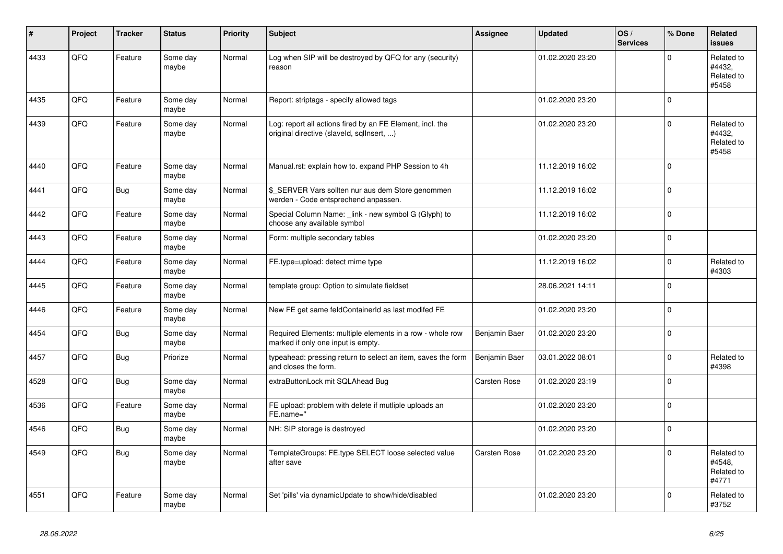| ∦    | Project | <b>Tracker</b> | <b>Status</b>     | Priority | <b>Subject</b>                                                                                         | Assignee            | <b>Updated</b>   | OS/<br><b>Services</b> | % Done      | Related<br><b>issues</b>                    |
|------|---------|----------------|-------------------|----------|--------------------------------------------------------------------------------------------------------|---------------------|------------------|------------------------|-------------|---------------------------------------------|
| 4433 | QFQ     | Feature        | Some day<br>maybe | Normal   | Log when SIP will be destroyed by QFQ for any (security)<br>reason                                     |                     | 01.02.2020 23:20 |                        | $\mathbf 0$ | Related to<br>#4432,<br>Related to<br>#5458 |
| 4435 | QFQ     | Feature        | Some day<br>maybe | Normal   | Report: striptags - specify allowed tags                                                               |                     | 01.02.2020 23:20 |                        | $\mathbf 0$ |                                             |
| 4439 | QFQ     | Feature        | Some day<br>maybe | Normal   | Log: report all actions fired by an FE Element, incl. the<br>original directive (slaveld, sqllnsert, ) |                     | 01.02.2020 23:20 |                        | $\mathsf 0$ | Related to<br>#4432.<br>Related to<br>#5458 |
| 4440 | QFQ     | Feature        | Some day<br>maybe | Normal   | Manual.rst: explain how to. expand PHP Session to 4h                                                   |                     | 11.12.2019 16:02 |                        | $\mathbf 0$ |                                             |
| 4441 | QFQ     | <b>Bug</b>     | Some day<br>maybe | Normal   | \$ SERVER Vars sollten nur aus dem Store genommen<br>werden - Code entsprechend anpassen.              |                     | 11.12.2019 16:02 |                        | $\pmb{0}$   |                                             |
| 4442 | QFQ     | Feature        | Some day<br>maybe | Normal   | Special Column Name: _link - new symbol G (Glyph) to<br>choose any available symbol                    |                     | 11.12.2019 16:02 |                        | $\mathbf 0$ |                                             |
| 4443 | QFQ     | Feature        | Some day<br>maybe | Normal   | Form: multiple secondary tables                                                                        |                     | 01.02.2020 23:20 |                        | $\mathbf 0$ |                                             |
| 4444 | QFQ     | Feature        | Some day<br>maybe | Normal   | FE.type=upload: detect mime type                                                                       |                     | 11.12.2019 16:02 |                        | $\mathbf 0$ | Related to<br>#4303                         |
| 4445 | QFQ     | Feature        | Some day<br>maybe | Normal   | template group: Option to simulate fieldset                                                            |                     | 28.06.2021 14:11 |                        | $\mathbf 0$ |                                             |
| 4446 | QFQ     | Feature        | Some day<br>maybe | Normal   | New FE get same feldContainerId as last modifed FE                                                     |                     | 01.02.2020 23:20 |                        | $\mathbf 0$ |                                             |
| 4454 | QFQ     | Bug            | Some day<br>maybe | Normal   | Required Elements: multiple elements in a row - whole row<br>marked if only one input is empty.        | Benjamin Baer       | 01.02.2020 23:20 |                        | $\mathbf 0$ |                                             |
| 4457 | QFQ     | Bug            | Priorize          | Normal   | typeahead: pressing return to select an item, saves the form<br>and closes the form.                   | Benjamin Baer       | 03.01.2022 08:01 |                        | $\Omega$    | Related to<br>#4398                         |
| 4528 | QFQ     | Bug            | Some day<br>maybe | Normal   | extraButtonLock mit SQLAhead Bug                                                                       | <b>Carsten Rose</b> | 01.02.2020 23:19 |                        | $\mathbf 0$ |                                             |
| 4536 | QFQ     | Feature        | Some day<br>maybe | Normal   | FE upload: problem with delete if mutliple uploads an<br>FE.name="                                     |                     | 01.02.2020 23:20 |                        | $\mathsf 0$ |                                             |
| 4546 | QFQ     | <b>Bug</b>     | Some day<br>maybe | Normal   | NH: SIP storage is destroyed                                                                           |                     | 01.02.2020 23:20 |                        | $\Omega$    |                                             |
| 4549 | QFQ     | Bug            | Some day<br>maybe | Normal   | TemplateGroups: FE.type SELECT loose selected value<br>after save                                      | <b>Carsten Rose</b> | 01.02.2020 23:20 |                        | $\mathbf 0$ | Related to<br>#4548,<br>Related to<br>#4771 |
| 4551 | QFQ     | Feature        | Some day<br>maybe | Normal   | Set 'pills' via dynamicUpdate to show/hide/disabled                                                    |                     | 01.02.2020 23:20 |                        | $\mathbf 0$ | Related to<br>#3752                         |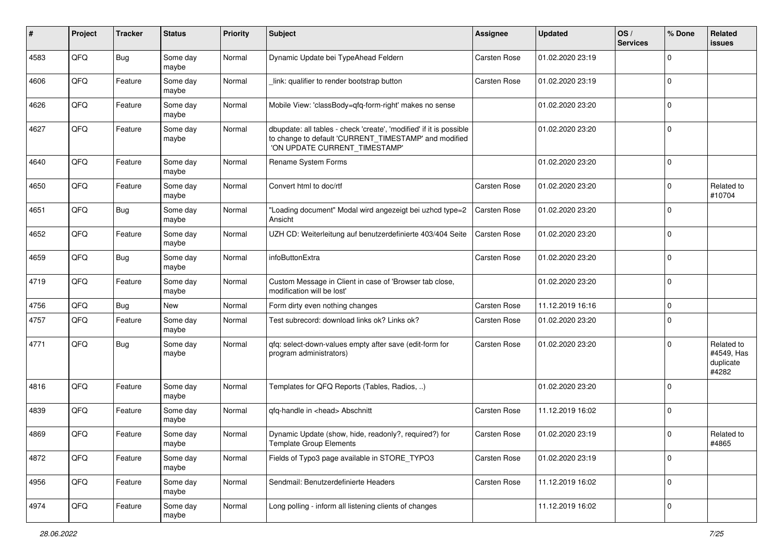| ∦    | Project | <b>Tracker</b> | <b>Status</b>     | <b>Priority</b> | Subject                                                                                                                                                       | <b>Assignee</b>     | <b>Updated</b>   | OS/<br><b>Services</b> | % Done   | Related<br>issues                              |
|------|---------|----------------|-------------------|-----------------|---------------------------------------------------------------------------------------------------------------------------------------------------------------|---------------------|------------------|------------------------|----------|------------------------------------------------|
| 4583 | QFQ     | Bug            | Some day<br>maybe | Normal          | Dynamic Update bei TypeAhead Feldern                                                                                                                          | <b>Carsten Rose</b> | 01.02.2020 23:19 |                        | $\Omega$ |                                                |
| 4606 | QFQ     | Feature        | Some day<br>maybe | Normal          | link: qualifier to render bootstrap button                                                                                                                    | <b>Carsten Rose</b> | 01.02.2020 23:19 |                        | $\Omega$ |                                                |
| 4626 | QFQ     | Feature        | Some day<br>maybe | Normal          | Mobile View: 'classBody=qfq-form-right' makes no sense                                                                                                        |                     | 01.02.2020 23:20 |                        | $\Omega$ |                                                |
| 4627 | QFQ     | Feature        | Some day<br>maybe | Normal          | dbupdate: all tables - check 'create', 'modified' if it is possible<br>to change to default 'CURRENT_TIMESTAMP' and modified<br>'ON UPDATE CURRENT_TIMESTAMP' |                     | 01.02.2020 23:20 |                        | $\Omega$ |                                                |
| 4640 | QFQ     | Feature        | Some day<br>maybe | Normal          | Rename System Forms                                                                                                                                           |                     | 01.02.2020 23:20 |                        | 0        |                                                |
| 4650 | QFQ     | Feature        | Some day<br>maybe | Normal          | Convert html to doc/rtf                                                                                                                                       | <b>Carsten Rose</b> | 01.02.2020 23:20 |                        | 0        | Related to<br>#10704                           |
| 4651 | QFQ     | Bug            | Some day<br>maybe | Normal          | "Loading document" Modal wird angezeigt bei uzhcd type=2<br>Ansicht                                                                                           | <b>Carsten Rose</b> | 01.02.2020 23:20 |                        | $\Omega$ |                                                |
| 4652 | QFQ     | Feature        | Some day<br>maybe | Normal          | UZH CD: Weiterleitung auf benutzerdefinierte 403/404 Seite                                                                                                    | <b>Carsten Rose</b> | 01.02.2020 23:20 |                        | $\Omega$ |                                                |
| 4659 | QFQ     | Bug            | Some day<br>maybe | Normal          | infoButtonExtra                                                                                                                                               | <b>Carsten Rose</b> | 01.02.2020 23:20 |                        | 0        |                                                |
| 4719 | QFQ     | Feature        | Some day<br>maybe | Normal          | Custom Message in Client in case of 'Browser tab close,<br>modification will be lost'                                                                         |                     | 01.02.2020 23:20 |                        | 0        |                                                |
| 4756 | QFQ     | Bug            | <b>New</b>        | Normal          | Form dirty even nothing changes                                                                                                                               | <b>Carsten Rose</b> | 11.12.2019 16:16 |                        | 0        |                                                |
| 4757 | QFQ     | Feature        | Some day<br>maybe | Normal          | Test subrecord: download links ok? Links ok?                                                                                                                  | <b>Carsten Rose</b> | 01.02.2020 23:20 |                        | $\Omega$ |                                                |
| 4771 | QFQ     | Bug            | Some day<br>maybe | Normal          | qfq: select-down-values empty after save (edit-form for<br>program administrators)                                                                            | <b>Carsten Rose</b> | 01.02.2020 23:20 |                        | $\Omega$ | Related to<br>#4549, Has<br>duplicate<br>#4282 |
| 4816 | QFQ     | Feature        | Some day<br>maybe | Normal          | Templates for QFQ Reports (Tables, Radios, )                                                                                                                  |                     | 01.02.2020 23:20 |                        | $\Omega$ |                                                |
| 4839 | QFQ     | Feature        | Some day<br>maybe | Normal          | qfq-handle in <head> Abschnitt</head>                                                                                                                         | Carsten Rose        | 11.12.2019 16:02 |                        | $\Omega$ |                                                |
| 4869 | QFQ     | Feature        | Some day<br>maybe | Normal          | Dynamic Update (show, hide, readonly?, required?) for<br><b>Template Group Elements</b>                                                                       | Carsten Rose        | 01.02.2020 23:19 |                        | $\Omega$ | Related to<br>#4865                            |
| 4872 | QFQ     | Feature        | Some day<br>maybe | Normal          | Fields of Typo3 page available in STORE_TYPO3                                                                                                                 | Carsten Rose        | 01.02.2020 23:19 |                        | 0        |                                                |
| 4956 | QFQ     | Feature        | Some day<br>maybe | Normal          | Sendmail: Benutzerdefinierte Headers                                                                                                                          | Carsten Rose        | 11.12.2019 16:02 |                        | 0        |                                                |
| 4974 | QFQ     | Feature        | Some day<br>maybe | Normal          | Long polling - inform all listening clients of changes                                                                                                        |                     | 11.12.2019 16:02 |                        | 0        |                                                |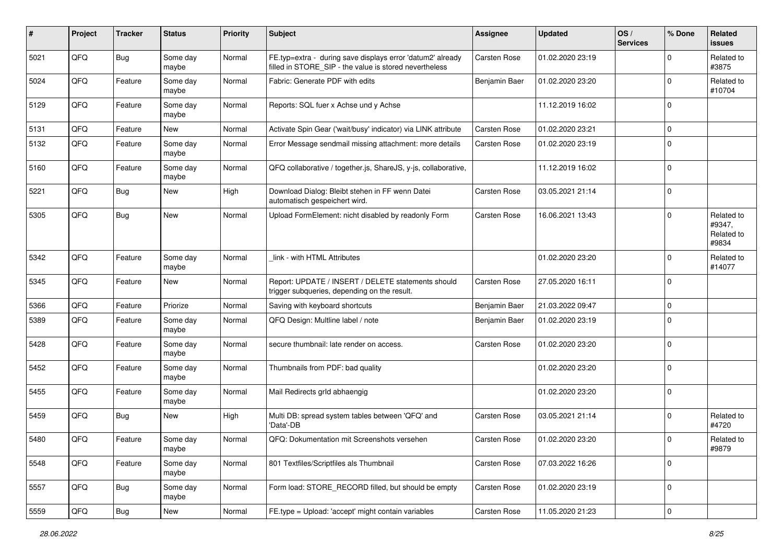| $\sharp$ | Project | <b>Tracker</b> | <b>Status</b>     | <b>Priority</b> | <b>Subject</b>                                                                                                       | <b>Assignee</b>     | <b>Updated</b>   | OS/<br><b>Services</b> | % Done      | Related<br>issues                           |
|----------|---------|----------------|-------------------|-----------------|----------------------------------------------------------------------------------------------------------------------|---------------------|------------------|------------------------|-------------|---------------------------------------------|
| 5021     | QFQ     | <b>Bug</b>     | Some day<br>maybe | Normal          | FE.typ=extra - during save displays error 'datum2' already<br>filled in STORE_SIP - the value is stored nevertheless | <b>Carsten Rose</b> | 01.02.2020 23:19 |                        | $\Omega$    | Related to<br>#3875                         |
| 5024     | QFQ     | Feature        | Some day<br>maybe | Normal          | Fabric: Generate PDF with edits                                                                                      | Benjamin Baer       | 01.02.2020 23:20 |                        | $\Omega$    | Related to<br>#10704                        |
| 5129     | QFQ     | Feature        | Some day<br>maybe | Normal          | Reports: SQL fuer x Achse und y Achse                                                                                |                     | 11.12.2019 16:02 |                        | $\Omega$    |                                             |
| 5131     | QFQ     | Feature        | New               | Normal          | Activate Spin Gear ('wait/busy' indicator) via LINK attribute                                                        | <b>Carsten Rose</b> | 01.02.2020 23:21 |                        | $\mathbf 0$ |                                             |
| 5132     | QFQ     | Feature        | Some day<br>maybe | Normal          | Error Message sendmail missing attachment: more details                                                              | <b>Carsten Rose</b> | 01.02.2020 23:19 |                        | $\Omega$    |                                             |
| 5160     | QFQ     | Feature        | Some day<br>maybe | Normal          | QFQ collaborative / together.js, ShareJS, y-js, collaborative,                                                       |                     | 11.12.2019 16:02 |                        | 0           |                                             |
| 5221     | QFQ     | <b>Bug</b>     | <b>New</b>        | High            | Download Dialog: Bleibt stehen in FF wenn Datei<br>automatisch gespeichert wird.                                     | <b>Carsten Rose</b> | 03.05.2021 21:14 |                        | $\mathbf 0$ |                                             |
| 5305     | QFQ     | Bug            | <b>New</b>        | Normal          | Upload FormElement: nicht disabled by readonly Form                                                                  | <b>Carsten Rose</b> | 16.06.2021 13:43 |                        | $\Omega$    | Related to<br>#9347,<br>Related to<br>#9834 |
| 5342     | QFQ     | Feature        | Some day<br>maybe | Normal          | link - with HTML Attributes                                                                                          |                     | 01.02.2020 23:20 |                        | $\Omega$    | Related to<br>#14077                        |
| 5345     | QFQ     | Feature        | New               | Normal          | Report: UPDATE / INSERT / DELETE statements should<br>trigger subqueries, depending on the result.                   | <b>Carsten Rose</b> | 27.05.2020 16:11 |                        | 0           |                                             |
| 5366     | QFQ     | Feature        | Priorize          | Normal          | Saving with keyboard shortcuts                                                                                       | Benjamin Baer       | 21.03.2022 09:47 |                        | 0           |                                             |
| 5389     | QFQ     | Feature        | Some day<br>maybe | Normal          | QFQ Design: Multline label / note                                                                                    | Benjamin Baer       | 01.02.2020 23:19 |                        | $\Omega$    |                                             |
| 5428     | QFQ     | Feature        | Some day<br>maybe | Normal          | secure thumbnail: late render on access.                                                                             | <b>Carsten Rose</b> | 01.02.2020 23:20 |                        | $\Omega$    |                                             |
| 5452     | QFQ     | Feature        | Some day<br>maybe | Normal          | Thumbnails from PDF: bad quality                                                                                     |                     | 01.02.2020 23:20 |                        | $\Omega$    |                                             |
| 5455     | QFQ     | Feature        | Some day<br>maybe | Normal          | Mail Redirects grld abhaengig                                                                                        |                     | 01.02.2020 23:20 |                        | 0           |                                             |
| 5459     | QFQ     | Bug            | <b>New</b>        | High            | Multi DB: spread system tables between 'QFQ' and<br>'Data'-DB                                                        | Carsten Rose        | 03.05.2021 21:14 |                        | $\Omega$    | Related to<br>#4720                         |
| 5480     | QFQ     | Feature        | Some day<br>maybe | Normal          | QFQ: Dokumentation mit Screenshots versehen                                                                          | <b>Carsten Rose</b> | 01.02.2020 23:20 |                        | $\Omega$    | Related to<br>#9879                         |
| 5548     | QFQ     | Feature        | Some day<br>maybe | Normal          | 801 Textfiles/Scriptfiles als Thumbnail                                                                              | Carsten Rose        | 07.03.2022 16:26 |                        | $\mathbf 0$ |                                             |
| 5557     | QFQ     | <b>Bug</b>     | Some day<br>maybe | Normal          | Form load: STORE_RECORD filled, but should be empty                                                                  | Carsten Rose        | 01.02.2020 23:19 |                        | $\mathbf 0$ |                                             |
| 5559     | QFG     | <b>Bug</b>     | New               | Normal          | FE.type = Upload: 'accept' might contain variables                                                                   | Carsten Rose        | 11.05.2020 21:23 |                        | $\mathbf 0$ |                                             |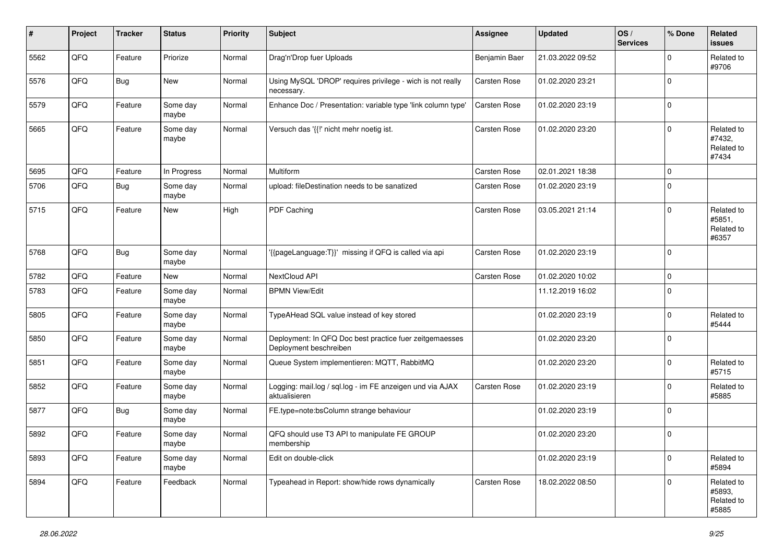| #    | Project | <b>Tracker</b> | <b>Status</b>     | <b>Priority</b> | <b>Subject</b>                                                                    | <b>Assignee</b>     | <b>Updated</b>   | OS/<br><b>Services</b> | % Done      | Related<br>issues                           |
|------|---------|----------------|-------------------|-----------------|-----------------------------------------------------------------------------------|---------------------|------------------|------------------------|-------------|---------------------------------------------|
| 5562 | QFQ     | Feature        | Priorize          | Normal          | Drag'n'Drop fuer Uploads                                                          | Benjamin Baer       | 21.03.2022 09:52 |                        | $\Omega$    | Related to<br>#9706                         |
| 5576 | QFQ     | Bug            | New               | Normal          | Using MySQL 'DROP' requires privilege - wich is not really<br>necessary.          | <b>Carsten Rose</b> | 01.02.2020 23:21 |                        | $\Omega$    |                                             |
| 5579 | QFQ     | Feature        | Some day<br>maybe | Normal          | Enhance Doc / Presentation: variable type 'link column type'                      | <b>Carsten Rose</b> | 01.02.2020 23:19 |                        | $\Omega$    |                                             |
| 5665 | QFQ     | Feature        | Some day<br>maybe | Normal          | Versuch das '{{!' nicht mehr noetig ist.                                          | <b>Carsten Rose</b> | 01.02.2020 23:20 |                        | $\Omega$    | Related to<br>#7432,<br>Related to<br>#7434 |
| 5695 | QFQ     | Feature        | In Progress       | Normal          | Multiform                                                                         | <b>Carsten Rose</b> | 02.01.2021 18:38 |                        | $\Omega$    |                                             |
| 5706 | QFQ     | Bug            | Some day<br>maybe | Normal          | upload: fileDestination needs to be sanatized                                     | <b>Carsten Rose</b> | 01.02.2020 23:19 |                        | $\Omega$    |                                             |
| 5715 | QFQ     | Feature        | New               | High            | PDF Caching                                                                       | Carsten Rose        | 03.05.2021 21:14 |                        | $\Omega$    | Related to<br>#5851,<br>Related to<br>#6357 |
| 5768 | QFQ     | Bug            | Some day<br>maybe | Normal          | '{{pageLanguage:T}}' missing if QFQ is called via api                             | <b>Carsten Rose</b> | 01.02.2020 23:19 |                        | $\mathbf 0$ |                                             |
| 5782 | QFQ     | Feature        | <b>New</b>        | Normal          | NextCloud API                                                                     | Carsten Rose        | 01.02.2020 10:02 |                        | $\mathbf 0$ |                                             |
| 5783 | QFQ     | Feature        | Some day<br>maybe | Normal          | <b>BPMN View/Edit</b>                                                             |                     | 11.12.2019 16:02 |                        | $\Omega$    |                                             |
| 5805 | QFQ     | Feature        | Some day<br>maybe | Normal          | TypeAHead SQL value instead of key stored                                         |                     | 01.02.2020 23:19 |                        | 0           | Related to<br>#5444                         |
| 5850 | QFQ     | Feature        | Some day<br>maybe | Normal          | Deployment: In QFQ Doc best practice fuer zeitgemaesses<br>Deployment beschreiben |                     | 01.02.2020 23:20 |                        | $\Omega$    |                                             |
| 5851 | QFQ     | Feature        | Some day<br>maybe | Normal          | Queue System implementieren: MQTT, RabbitMQ                                       |                     | 01.02.2020 23:20 |                        | $\Omega$    | Related to<br>#5715                         |
| 5852 | QFQ     | Feature        | Some day<br>maybe | Normal          | Logging: mail.log / sql.log - im FE anzeigen und via AJAX<br>aktualisieren        | <b>Carsten Rose</b> | 01.02.2020 23:19 |                        | $\Omega$    | Related to<br>#5885                         |
| 5877 | QFQ     | Bug            | Some day<br>maybe | Normal          | FE.type=note:bsColumn strange behaviour                                           |                     | 01.02.2020 23:19 |                        | $\Omega$    |                                             |
| 5892 | QFQ     | Feature        | Some day<br>maybe | Normal          | QFQ should use T3 API to manipulate FE GROUP<br>membership                        |                     | 01.02.2020 23:20 |                        | $\Omega$    |                                             |
| 5893 | QFQ     | Feature        | Some day<br>maybe | Normal          | Edit on double-click                                                              |                     | 01.02.2020 23:19 |                        | $\mathbf 0$ | Related to<br>#5894                         |
| 5894 | QFQ     | Feature        | Feedback          | Normal          | Typeahead in Report: show/hide rows dynamically                                   | Carsten Rose        | 18.02.2022 08:50 |                        | $\mathbf 0$ | Related to<br>#5893,<br>Related to<br>#5885 |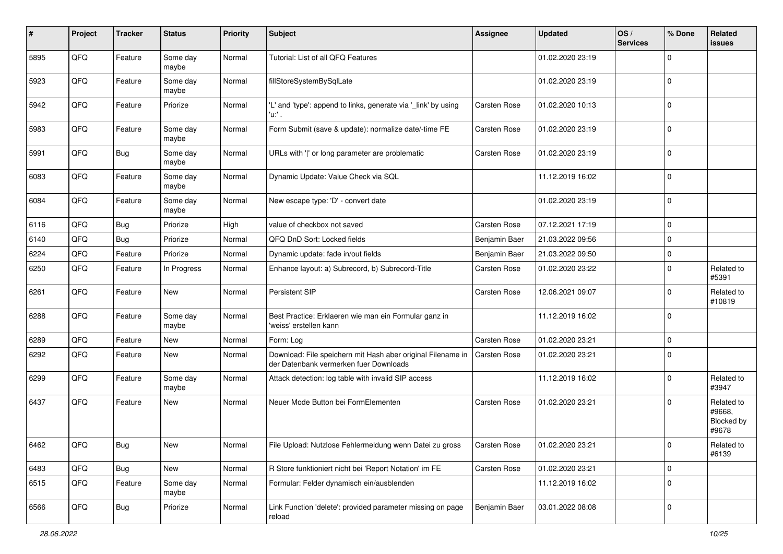| #    | Project | <b>Tracker</b> | <b>Status</b>     | <b>Priority</b> | <b>Subject</b>                                                                                        | <b>Assignee</b>     | <b>Updated</b>   | OS/<br><b>Services</b> | % Done      | Related<br>issues                           |
|------|---------|----------------|-------------------|-----------------|-------------------------------------------------------------------------------------------------------|---------------------|------------------|------------------------|-------------|---------------------------------------------|
| 5895 | QFQ     | Feature        | Some day<br>maybe | Normal          | Tutorial: List of all QFQ Features                                                                    |                     | 01.02.2020 23:19 |                        | $\Omega$    |                                             |
| 5923 | QFQ     | Feature        | Some day<br>maybe | Normal          | fillStoreSystemBySqlLate                                                                              |                     | 01.02.2020 23:19 |                        | 0           |                                             |
| 5942 | QFQ     | Feature        | Priorize          | Normal          | 'L' and 'type': append to links, generate via '_link' by using<br>'u:' .                              | <b>Carsten Rose</b> | 01.02.2020 10:13 |                        | $\Omega$    |                                             |
| 5983 | QFQ     | Feature        | Some day<br>maybe | Normal          | Form Submit (save & update): normalize date/-time FE                                                  | <b>Carsten Rose</b> | 01.02.2020 23:19 |                        | $\mathbf 0$ |                                             |
| 5991 | QFQ     | <b>Bug</b>     | Some day<br>maybe | Normal          | URLs with ' ' or long parameter are problematic                                                       | <b>Carsten Rose</b> | 01.02.2020 23:19 |                        | $\Omega$    |                                             |
| 6083 | QFQ     | Feature        | Some day<br>maybe | Normal          | Dynamic Update: Value Check via SQL                                                                   |                     | 11.12.2019 16:02 |                        | $\Omega$    |                                             |
| 6084 | QFQ     | Feature        | Some day<br>maybe | Normal          | New escape type: 'D' - convert date                                                                   |                     | 01.02.2020 23:19 |                        | $\Omega$    |                                             |
| 6116 | QFQ     | Bug            | Priorize          | High            | value of checkbox not saved                                                                           | <b>Carsten Rose</b> | 07.12.2021 17:19 |                        | $\mathbf 0$ |                                             |
| 6140 | QFQ     | Bug            | Priorize          | Normal          | QFQ DnD Sort: Locked fields                                                                           | Benjamin Baer       | 21.03.2022 09:56 |                        | 0           |                                             |
| 6224 | QFQ     | Feature        | Priorize          | Normal          | Dynamic update: fade in/out fields                                                                    | Benjamin Baer       | 21.03.2022 09:50 |                        | $\Omega$    |                                             |
| 6250 | QFQ     | Feature        | In Progress       | Normal          | Enhance layout: a) Subrecord, b) Subrecord-Title                                                      | Carsten Rose        | 01.02.2020 23:22 |                        | $\mathbf 0$ | Related to<br>#5391                         |
| 6261 | QFQ     | Feature        | <b>New</b>        | Normal          | Persistent SIP                                                                                        | <b>Carsten Rose</b> | 12.06.2021 09:07 |                        | $\Omega$    | Related to<br>#10819                        |
| 6288 | QFQ     | Feature        | Some day<br>maybe | Normal          | Best Practice: Erklaeren wie man ein Formular ganz in<br>'weiss' erstellen kann                       |                     | 11.12.2019 16:02 |                        | $\mathbf 0$ |                                             |
| 6289 | QFQ     | Feature        | New               | Normal          | Form: Log                                                                                             | <b>Carsten Rose</b> | 01.02.2020 23:21 |                        | $\mathbf 0$ |                                             |
| 6292 | QFQ     | Feature        | New               | Normal          | Download: File speichern mit Hash aber original Filename in<br>der Datenbank vermerken fuer Downloads | <b>Carsten Rose</b> | 01.02.2020 23:21 |                        | $\Omega$    |                                             |
| 6299 | QFQ     | Feature        | Some day<br>maybe | Normal          | Attack detection: log table with invalid SIP access                                                   |                     | 11.12.2019 16:02 |                        | $\Omega$    | Related to<br>#3947                         |
| 6437 | QFQ     | Feature        | <b>New</b>        | Normal          | Neuer Mode Button bei FormElementen                                                                   | <b>Carsten Rose</b> | 01.02.2020 23:21 |                        | $\Omega$    | Related to<br>#9668,<br>Blocked by<br>#9678 |
| 6462 | QFQ     | Bug            | <b>New</b>        | Normal          | File Upload: Nutzlose Fehlermeldung wenn Datei zu gross                                               | Carsten Rose        | 01.02.2020 23:21 |                        | O           | Related to<br>#6139                         |
| 6483 | QFQ     | Bug            | New               | Normal          | R Store funktioniert nicht bei 'Report Notation' im FE                                                | Carsten Rose        | 01.02.2020 23:21 |                        | 0           |                                             |
| 6515 | QFQ     | Feature        | Some day<br>maybe | Normal          | Formular: Felder dynamisch ein/ausblenden                                                             |                     | 11.12.2019 16:02 |                        | $\mathbf 0$ |                                             |
| 6566 | QFG     | <b>Bug</b>     | Priorize          | Normal          | Link Function 'delete': provided parameter missing on page<br>reload                                  | Benjamin Baer       | 03.01.2022 08:08 |                        | 0           |                                             |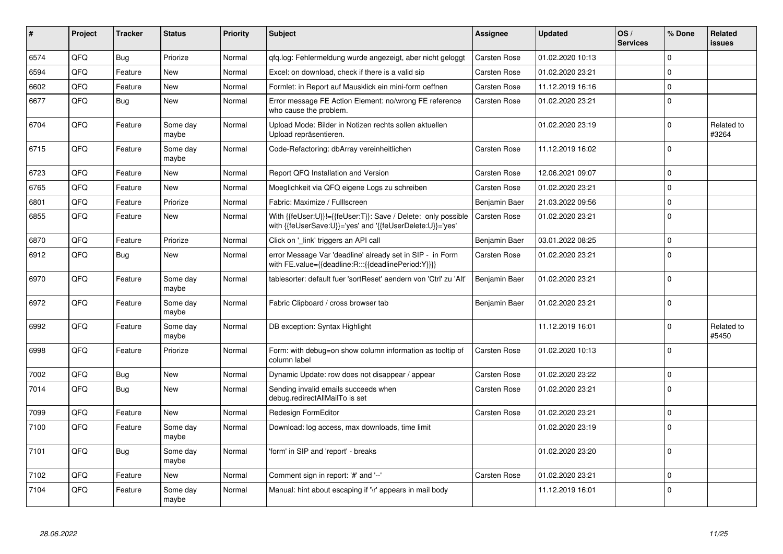| #    | Project | <b>Tracker</b> | <b>Status</b>     | Priority | <b>Subject</b>                                                                                                             | <b>Assignee</b>     | <b>Updated</b>   | OS/<br><b>Services</b> | % Done      | Related<br><b>issues</b> |
|------|---------|----------------|-------------------|----------|----------------------------------------------------------------------------------------------------------------------------|---------------------|------------------|------------------------|-------------|--------------------------|
| 6574 | QFQ     | Bug            | Priorize          | Normal   | gfg.log: Fehlermeldung wurde angezeigt, aber nicht geloggt                                                                 | Carsten Rose        | 01.02.2020 10:13 |                        | $\Omega$    |                          |
| 6594 | QFQ     | Feature        | New               | Normal   | Excel: on download, check if there is a valid sip                                                                          | <b>Carsten Rose</b> | 01.02.2020 23:21 |                        | $\Omega$    |                          |
| 6602 | QFQ     | Feature        | <b>New</b>        | Normal   | Formlet: in Report auf Mausklick ein mini-form oeffnen                                                                     | Carsten Rose        | 11.12.2019 16:16 |                        | $\Omega$    |                          |
| 6677 | QFQ     | Bug            | <b>New</b>        | Normal   | Error message FE Action Element: no/wrong FE reference<br>who cause the problem.                                           | <b>Carsten Rose</b> | 01.02.2020 23:21 |                        | $\Omega$    |                          |
| 6704 | QFQ     | Feature        | Some day<br>maybe | Normal   | Upload Mode: Bilder in Notizen rechts sollen aktuellen<br>Upload repräsentieren.                                           |                     | 01.02.2020 23:19 |                        | $\Omega$    | Related to<br>#3264      |
| 6715 | QFQ     | Feature        | Some day<br>maybe | Normal   | Code-Refactoring: dbArray vereinheitlichen                                                                                 | <b>Carsten Rose</b> | 11.12.2019 16:02 |                        | $\Omega$    |                          |
| 6723 | QFQ     | Feature        | <b>New</b>        | Normal   | Report QFQ Installation and Version                                                                                        | <b>Carsten Rose</b> | 12.06.2021 09:07 |                        | $\Omega$    |                          |
| 6765 | QFQ     | Feature        | <b>New</b>        | Normal   | Moeglichkeit via QFQ eigene Logs zu schreiben                                                                              | <b>Carsten Rose</b> | 01.02.2020 23:21 |                        | $\Omega$    |                          |
| 6801 | QFQ     | Feature        | Priorize          | Normal   | Fabric: Maximize / FullIscreen                                                                                             | Benjamin Baer       | 21.03.2022 09:56 |                        | $\Omega$    |                          |
| 6855 | QFQ     | Feature        | New               | Normal   | With {{feUser:U}}!={{feUser:T}}: Save / Delete: only possible<br>with {{feUserSave:U}}='yes' and '{{feUserDelete:U}}='yes' | <b>Carsten Rose</b> | 01.02.2020 23:21 |                        | $\Omega$    |                          |
| 6870 | QFQ     | Feature        | Priorize          | Normal   | Click on '_link' triggers an API call                                                                                      | Benjamin Baer       | 03.01.2022 08:25 |                        | 0           |                          |
| 6912 | QFQ     | Bug            | <b>New</b>        | Normal   | error Message Var 'deadline' already set in SIP - in Form<br>with FE.value={{deadline:R:::{{deadlinePeriod:Y}}}}           | <b>Carsten Rose</b> | 01.02.2020 23:21 |                        | $\Omega$    |                          |
| 6970 | QFQ     | Feature        | Some day<br>maybe | Normal   | tablesorter: default fuer 'sortReset' aendern von 'Ctrl' zu 'Alt'                                                          | Benjamin Baer       | 01.02.2020 23:21 |                        | $\Omega$    |                          |
| 6972 | QFQ     | Feature        | Some day<br>maybe | Normal   | Fabric Clipboard / cross browser tab                                                                                       | Benjamin Baer       | 01.02.2020 23:21 |                        | $\Omega$    |                          |
| 6992 | QFQ     | Feature        | Some day<br>maybe | Normal   | DB exception: Syntax Highlight                                                                                             |                     | 11.12.2019 16:01 |                        | $\Omega$    | Related to<br>#5450      |
| 6998 | QFQ     | Feature        | Priorize          | Normal   | Form: with debug=on show column information as tooltip of<br>column label                                                  | <b>Carsten Rose</b> | 01.02.2020 10:13 |                        | $\Omega$    |                          |
| 7002 | QFQ     | <b>Bug</b>     | <b>New</b>        | Normal   | Dynamic Update: row does not disappear / appear                                                                            | <b>Carsten Rose</b> | 01.02.2020 23:22 |                        | $\Omega$    |                          |
| 7014 | QFQ     | Bug            | <b>New</b>        | Normal   | Sending invalid emails succeeds when<br>debug.redirectAllMailTo is set                                                     | <b>Carsten Rose</b> | 01.02.2020 23:21 |                        | $\Omega$    |                          |
| 7099 | QFQ     | Feature        | <b>New</b>        | Normal   | Redesign FormEditor                                                                                                        | Carsten Rose        | 01.02.2020 23:21 |                        | $\Omega$    |                          |
| 7100 | QFQ     | Feature        | Some day<br>maybe | Normal   | Download: log access, max downloads, time limit                                                                            |                     | 01.02.2020 23:19 |                        | $\Omega$    |                          |
| 7101 | QFQ     | Bug            | Some day<br>maybe | Normal   | 'form' in SIP and 'report' - breaks                                                                                        |                     | 01.02.2020 23:20 |                        | $\Omega$    |                          |
| 7102 | QFQ     | Feature        | <b>New</b>        | Normal   | Comment sign in report: '#' and '--'                                                                                       | <b>Carsten Rose</b> | 01.02.2020 23:21 |                        | $\mathbf 0$ |                          |
| 7104 | QFQ     | Feature        | Some day<br>maybe | Normal   | Manual: hint about escaping if '\r' appears in mail body                                                                   |                     | 11.12.2019 16:01 |                        | $\Omega$    |                          |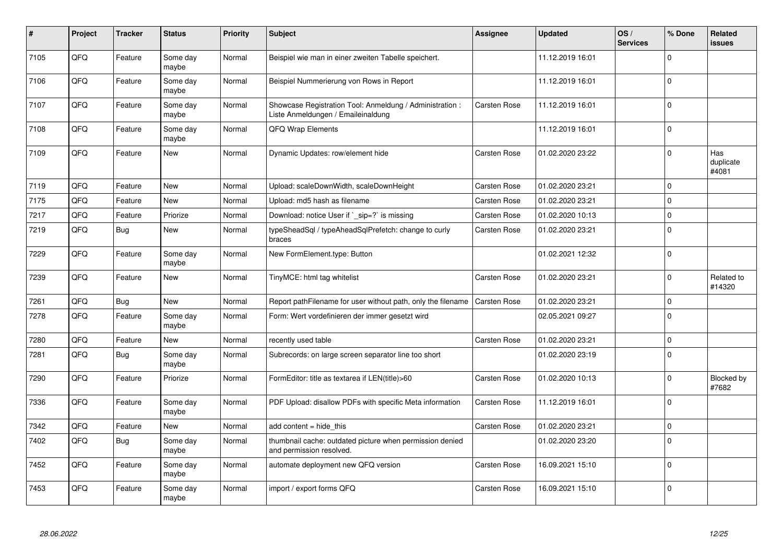| #    | Project | <b>Tracker</b> | <b>Status</b>     | <b>Priority</b> | <b>Subject</b>                                                                                 | <b>Assignee</b>     | <b>Updated</b>   | OS/<br><b>Services</b> | % Done      | Related<br>issues         |
|------|---------|----------------|-------------------|-----------------|------------------------------------------------------------------------------------------------|---------------------|------------------|------------------------|-------------|---------------------------|
| 7105 | QFQ     | Feature        | Some day<br>maybe | Normal          | Beispiel wie man in einer zweiten Tabelle speichert.                                           |                     | 11.12.2019 16:01 |                        | $\Omega$    |                           |
| 7106 | QFQ     | Feature        | Some day<br>maybe | Normal          | Beispiel Nummerierung von Rows in Report                                                       |                     | 11.12.2019 16:01 |                        | $\Omega$    |                           |
| 7107 | QFQ     | Feature        | Some day<br>maybe | Normal          | Showcase Registration Tool: Anmeldung / Administration :<br>Liste Anmeldungen / Emaileinaldung | <b>Carsten Rose</b> | 11.12.2019 16:01 |                        | $\Omega$    |                           |
| 7108 | QFQ     | Feature        | Some day<br>maybe | Normal          | QFQ Wrap Elements                                                                              |                     | 11.12.2019 16:01 |                        | $\Omega$    |                           |
| 7109 | QFQ     | Feature        | <b>New</b>        | Normal          | Dynamic Updates: row/element hide                                                              | <b>Carsten Rose</b> | 01.02.2020 23:22 |                        | $\Omega$    | Has<br>duplicate<br>#4081 |
| 7119 | QFQ     | Feature        | New               | Normal          | Upload: scaleDownWidth, scaleDownHeight                                                        | Carsten Rose        | 01.02.2020 23:21 |                        | $\Omega$    |                           |
| 7175 | QFQ     | Feature        | New               | Normal          | Upload: md5 hash as filename                                                                   | Carsten Rose        | 01.02.2020 23:21 |                        | $\Omega$    |                           |
| 7217 | QFQ     | Feature        | Priorize          | Normal          | Download: notice User if `_sip=?` is missing                                                   | <b>Carsten Rose</b> | 01.02.2020 10:13 |                        | $\Omega$    |                           |
| 7219 | QFQ     | Bug            | <b>New</b>        | Normal          | typeSheadSql / typeAheadSqlPrefetch: change to curly<br>braces                                 | <b>Carsten Rose</b> | 01.02.2020 23:21 |                        | $\mathbf 0$ |                           |
| 7229 | QFQ     | Feature        | Some day<br>maybe | Normal          | New FormElement.type: Button                                                                   |                     | 01.02.2021 12:32 |                        | $\Omega$    |                           |
| 7239 | QFQ     | Feature        | New               | Normal          | TinyMCE: html tag whitelist                                                                    | Carsten Rose        | 01.02.2020 23:21 |                        | $\Omega$    | Related to<br>#14320      |
| 7261 | QFQ     | <b>Bug</b>     | <b>New</b>        | Normal          | Report pathFilename for user without path, only the filename                                   | <b>Carsten Rose</b> | 01.02.2020 23:21 |                        | $\Omega$    |                           |
| 7278 | QFQ     | Feature        | Some day<br>maybe | Normal          | Form: Wert vordefinieren der immer gesetzt wird                                                |                     | 02.05.2021 09:27 |                        | $\Omega$    |                           |
| 7280 | QFQ     | Feature        | <b>New</b>        | Normal          | recently used table                                                                            | Carsten Rose        | 01.02.2020 23:21 |                        | 0           |                           |
| 7281 | QFQ     | Bug            | Some day<br>maybe | Normal          | Subrecords: on large screen separator line too short                                           |                     | 01.02.2020 23:19 |                        | $\Omega$    |                           |
| 7290 | QFQ     | Feature        | Priorize          | Normal          | FormEditor: title as textarea if LEN(title)>60                                                 | <b>Carsten Rose</b> | 01.02.2020 10:13 |                        | $\Omega$    | Blocked by<br>#7682       |
| 7336 | QFQ     | Feature        | Some day<br>maybe | Normal          | PDF Upload: disallow PDFs with specific Meta information                                       | <b>Carsten Rose</b> | 11.12.2019 16:01 |                        | $\Omega$    |                           |
| 7342 | QFQ     | Feature        | New               | Normal          | add content $=$ hide this                                                                      | Carsten Rose        | 01.02.2020 23:21 |                        | 0           |                           |
| 7402 | QFQ     | Bug            | Some day<br>maybe | Normal          | thumbnail cache: outdated picture when permission denied<br>and permission resolved.           |                     | 01.02.2020 23:20 |                        | $\Omega$    |                           |
| 7452 | QFQ     | Feature        | Some day<br>maybe | Normal          | automate deployment new QFQ version                                                            | <b>Carsten Rose</b> | 16.09.2021 15:10 |                        | $\Omega$    |                           |
| 7453 | QFQ     | Feature        | Some day<br>maybe | Normal          | import / export forms QFQ                                                                      | <b>Carsten Rose</b> | 16.09.2021 15:10 |                        | $\Omega$    |                           |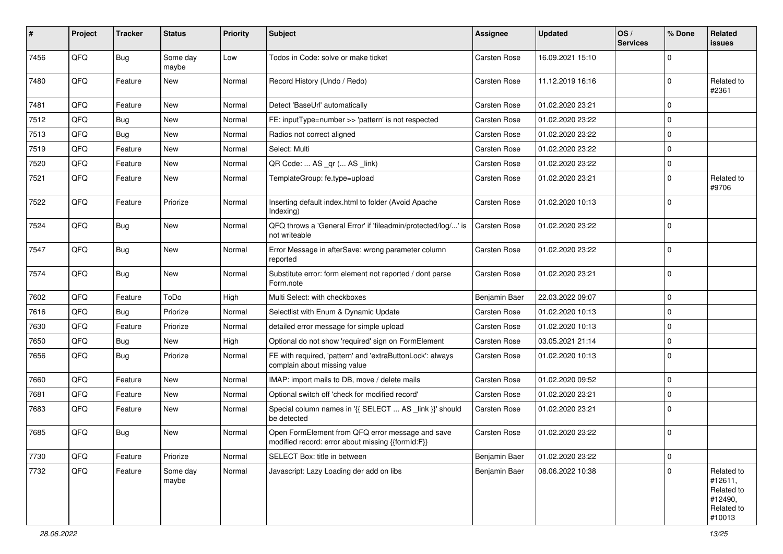| #    | Project | <b>Tracker</b> | <b>Status</b>     | <b>Priority</b> | <b>Subject</b>                                                                                        | Assignee            | <b>Updated</b>   | OS/<br><b>Services</b> | % Done      | Related<br>issues                                                      |
|------|---------|----------------|-------------------|-----------------|-------------------------------------------------------------------------------------------------------|---------------------|------------------|------------------------|-------------|------------------------------------------------------------------------|
| 7456 | QFQ     | <b>Bug</b>     | Some day<br>maybe | Low             | Todos in Code: solve or make ticket                                                                   | <b>Carsten Rose</b> | 16.09.2021 15:10 |                        | $\Omega$    |                                                                        |
| 7480 | QFQ     | Feature        | New               | Normal          | Record History (Undo / Redo)                                                                          | <b>Carsten Rose</b> | 11.12.2019 16:16 |                        | 0           | Related to<br>#2361                                                    |
| 7481 | QFQ     | Feature        | New               | Normal          | Detect 'BaseUrl' automatically                                                                        | <b>Carsten Rose</b> | 01.02.2020 23:21 |                        | $\Omega$    |                                                                        |
| 7512 | QFQ     | Bug            | <b>New</b>        | Normal          | FE: inputType=number >> 'pattern' is not respected                                                    | <b>Carsten Rose</b> | 01.02.2020 23:22 |                        | $\Omega$    |                                                                        |
| 7513 | QFQ     | Bug            | New               | Normal          | Radios not correct aligned                                                                            | <b>Carsten Rose</b> | 01.02.2020 23:22 |                        | 0           |                                                                        |
| 7519 | QFQ     | Feature        | New               | Normal          | Select: Multi                                                                                         | <b>Carsten Rose</b> | 01.02.2020 23:22 |                        | $\Omega$    |                                                                        |
| 7520 | QFQ     | Feature        | <b>New</b>        | Normal          | QR Code:  AS _qr ( AS _link)                                                                          | <b>Carsten Rose</b> | 01.02.2020 23:22 |                        | 0           |                                                                        |
| 7521 | QFQ     | Feature        | New               | Normal          | TemplateGroup: fe.type=upload                                                                         | <b>Carsten Rose</b> | 01.02.2020 23:21 |                        | 0           | Related to<br>#9706                                                    |
| 7522 | QFQ     | Feature        | Priorize          | Normal          | Inserting default index.html to folder (Avoid Apache<br>Indexing)                                     | Carsten Rose        | 01.02.2020 10:13 |                        | $\Omega$    |                                                                        |
| 7524 | QFQ     | Bug            | New               | Normal          | QFQ throws a 'General Error' if 'fileadmin/protected/log/' is<br>not writeable                        | <b>Carsten Rose</b> | 01.02.2020 23:22 |                        | $\Omega$    |                                                                        |
| 7547 | QFQ     | Bug            | New               | Normal          | Error Message in afterSave: wrong parameter column<br>reported                                        | <b>Carsten Rose</b> | 01.02.2020 23:22 |                        | $\Omega$    |                                                                        |
| 7574 | QFQ     | Bug            | New               | Normal          | Substitute error: form element not reported / dont parse<br>Form.note                                 | <b>Carsten Rose</b> | 01.02.2020 23:21 |                        | $\Omega$    |                                                                        |
| 7602 | QFQ     | Feature        | ToDo              | High            | Multi Select: with checkboxes                                                                         | Benjamin Baer       | 22.03.2022 09:07 |                        | $\mathbf 0$ |                                                                        |
| 7616 | QFQ     | Bug            | Priorize          | Normal          | Selectlist with Enum & Dynamic Update                                                                 | <b>Carsten Rose</b> | 01.02.2020 10:13 |                        | 0           |                                                                        |
| 7630 | QFQ     | Feature        | Priorize          | Normal          | detailed error message for simple upload                                                              | <b>Carsten Rose</b> | 01.02.2020 10:13 |                        | $\Omega$    |                                                                        |
| 7650 | QFQ     | Bug            | New               | High            | Optional do not show 'required' sign on FormElement                                                   | <b>Carsten Rose</b> | 03.05.2021 21:14 |                        | 0           |                                                                        |
| 7656 | QFQ     | Bug            | Priorize          | Normal          | FE with required, 'pattern' and 'extraButtonLock': always<br>complain about missing value             | <b>Carsten Rose</b> | 01.02.2020 10:13 |                        | $\Omega$    |                                                                        |
| 7660 | QFQ     | Feature        | New               | Normal          | IMAP: import mails to DB, move / delete mails                                                         | <b>Carsten Rose</b> | 01.02.2020 09:52 |                        | 0           |                                                                        |
| 7681 | QFQ     | Feature        | <b>New</b>        | Normal          | Optional switch off 'check for modified record'                                                       | <b>Carsten Rose</b> | 01.02.2020 23:21 |                        | 0           |                                                                        |
| 7683 | QFQ     | Feature        | <b>New</b>        | Normal          | Special column names in '{{ SELECT  AS _link }}' should<br>be detected                                | <b>Carsten Rose</b> | 01.02.2020 23:21 |                        | 0           |                                                                        |
| 7685 | QFQ     | Bug            | <b>New</b>        | Normal          | Open FormElement from QFQ error message and save<br>modified record: error about missing {{formId:F}} | <b>Carsten Rose</b> | 01.02.2020 23:22 |                        | $\mathbf 0$ |                                                                        |
| 7730 | QFQ     | Feature        | Priorize          | Normal          | SELECT Box: title in between                                                                          | Benjamin Baer       | 01.02.2020 23:22 |                        | $\mathbf 0$ |                                                                        |
| 7732 | QFQ     | Feature        | Some day<br>maybe | Normal          | Javascript: Lazy Loading der add on libs                                                              | Benjamin Baer       | 08.06.2022 10:38 |                        | $\Omega$    | Related to<br>#12611,<br>Related to<br>#12490,<br>Related to<br>#10013 |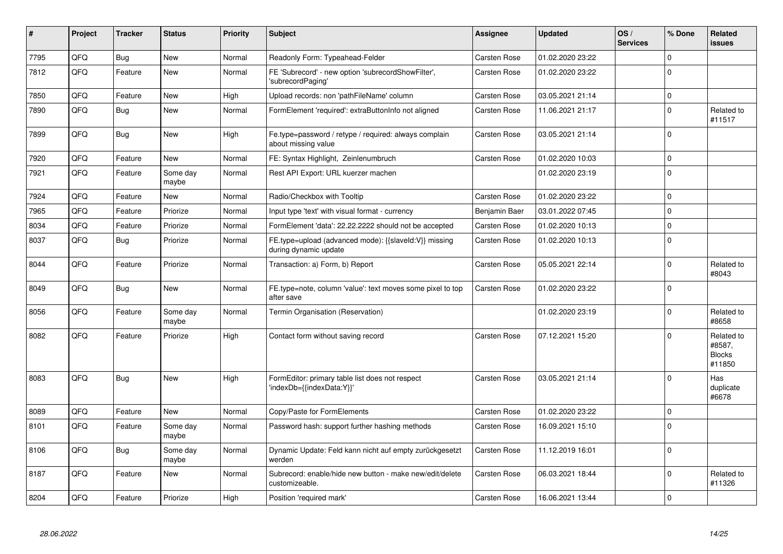| #    | Project | <b>Tracker</b> | <b>Status</b>     | <b>Priority</b> | <b>Subject</b>                                                                 | Assignee            | <b>Updated</b>   | OS/<br><b>Services</b> | % Done      | Related<br><b>issues</b>                        |
|------|---------|----------------|-------------------|-----------------|--------------------------------------------------------------------------------|---------------------|------------------|------------------------|-------------|-------------------------------------------------|
| 7795 | QFQ     | <b>Bug</b>     | <b>New</b>        | Normal          | Readonly Form: Typeahead-Felder                                                | <b>Carsten Rose</b> | 01.02.2020 23:22 |                        | $\Omega$    |                                                 |
| 7812 | QFQ     | Feature        | New               | Normal          | FE 'Subrecord' - new option 'subrecordShowFilter',<br>'subrecordPaging'        | <b>Carsten Rose</b> | 01.02.2020 23:22 |                        | $\Omega$    |                                                 |
| 7850 | QFQ     | Feature        | <b>New</b>        | High            | Upload records: non 'pathFileName' column                                      | <b>Carsten Rose</b> | 03.05.2021 21:14 |                        | $\Omega$    |                                                 |
| 7890 | QFQ     | <b>Bug</b>     | New               | Normal          | FormElement 'required': extraButtonInfo not aligned                            | Carsten Rose        | 11.06.2021 21:17 |                        | $\Omega$    | Related to<br>#11517                            |
| 7899 | QFQ     | <b>Bug</b>     | <b>New</b>        | High            | Fe.type=password / retype / required: always complain<br>about missing value   | <b>Carsten Rose</b> | 03.05.2021 21:14 |                        | $\Omega$    |                                                 |
| 7920 | QFQ     | Feature        | <b>New</b>        | Normal          | FE: Syntax Highlight, Zeinlenumbruch                                           | <b>Carsten Rose</b> | 01.02.2020 10:03 |                        | $\Omega$    |                                                 |
| 7921 | QFQ     | Feature        | Some day<br>maybe | Normal          | Rest API Export: URL kuerzer machen                                            |                     | 01.02.2020 23:19 |                        | $\Omega$    |                                                 |
| 7924 | QFQ     | Feature        | <b>New</b>        | Normal          | Radio/Checkbox with Tooltip                                                    | <b>Carsten Rose</b> | 01.02.2020 23:22 |                        | $\Omega$    |                                                 |
| 7965 | QFQ     | Feature        | Priorize          | Normal          | Input type 'text' with visual format - currency                                | Benjamin Baer       | 03.01.2022 07:45 |                        | $\mathbf 0$ |                                                 |
| 8034 | QFQ     | Feature        | Priorize          | Normal          | FormElement 'data': 22.22.2222 should not be accepted                          | <b>Carsten Rose</b> | 01.02.2020 10:13 |                        | $\Omega$    |                                                 |
| 8037 | QFQ     | Bug            | Priorize          | Normal          | FE.type=upload (advanced mode): {{slaveId:V}} missing<br>during dynamic update | <b>Carsten Rose</b> | 01.02.2020 10:13 |                        | $\Omega$    |                                                 |
| 8044 | QFQ     | Feature        | Priorize          | Normal          | Transaction: a) Form, b) Report                                                | <b>Carsten Rose</b> | 05.05.2021 22:14 |                        | $\Omega$    | Related to<br>#8043                             |
| 8049 | QFQ     | Bug            | <b>New</b>        | Normal          | FE.type=note, column 'value': text moves some pixel to top<br>after save       | <b>Carsten Rose</b> | 01.02.2020 23:22 |                        | $\Omega$    |                                                 |
| 8056 | QFQ     | Feature        | Some day<br>maybe | Normal          | Termin Organisation (Reservation)                                              |                     | 01.02.2020 23:19 |                        | $\Omega$    | Related to<br>#8658                             |
| 8082 | QFQ     | Feature        | Priorize          | High            | Contact form without saving record                                             | <b>Carsten Rose</b> | 07.12.2021 15:20 |                        | $\Omega$    | Related to<br>#8587,<br><b>Blocks</b><br>#11850 |
| 8083 | QFQ     | Bug            | <b>New</b>        | High            | FormEditor: primary table list does not respect<br>'indexDb={{indexData:Y}}'   | <b>Carsten Rose</b> | 03.05.2021 21:14 |                        | $\Omega$    | Has<br>duplicate<br>#6678                       |
| 8089 | QFQ     | Feature        | <b>New</b>        | Normal          | Copy/Paste for FormElements                                                    | <b>Carsten Rose</b> | 01.02.2020 23:22 |                        | $\Omega$    |                                                 |
| 8101 | QFQ     | Feature        | Some day<br>maybe | Normal          | Password hash: support further hashing methods                                 | <b>Carsten Rose</b> | 16.09.2021 15:10 |                        | $\Omega$    |                                                 |
| 8106 | QFQ     | Bug            | Some day<br>maybe | Normal          | Dynamic Update: Feld kann nicht auf empty zurückgesetzt<br>werden              | Carsten Rose        | 11.12.2019 16:01 |                        | $\Omega$    |                                                 |
| 8187 | QFQ     | Feature        | New               | Normal          | Subrecord: enable/hide new button - make new/edit/delete<br>customizeable.     | <b>Carsten Rose</b> | 06.03.2021 18:44 |                        | $\Omega$    | Related to<br>#11326                            |
| 8204 | QFQ     | Feature        | Priorize          | High            | Position 'required mark'                                                       | Carsten Rose        | 16.06.2021 13:44 |                        | $\Omega$    |                                                 |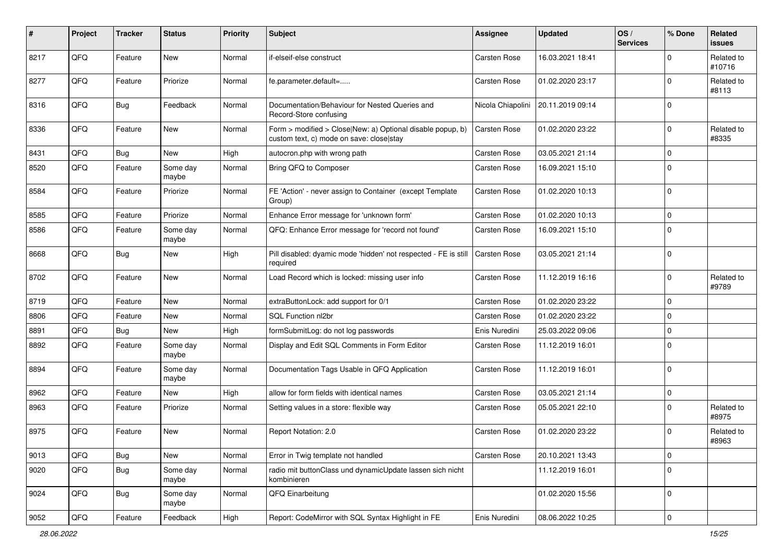| #    | Project | <b>Tracker</b> | <b>Status</b>     | <b>Priority</b> | Subject                                                                                                | <b>Assignee</b>     | <b>Updated</b>   | OS/<br><b>Services</b> | % Done      | Related<br>issues    |
|------|---------|----------------|-------------------|-----------------|--------------------------------------------------------------------------------------------------------|---------------------|------------------|------------------------|-------------|----------------------|
| 8217 | QFQ     | Feature        | <b>New</b>        | Normal          | if-elseif-else construct                                                                               | Carsten Rose        | 16.03.2021 18:41 |                        | $\Omega$    | Related to<br>#10716 |
| 8277 | QFQ     | Feature        | Priorize          | Normal          | fe.parameter.default=                                                                                  | <b>Carsten Rose</b> | 01.02.2020 23:17 |                        | $\Omega$    | Related to<br>#8113  |
| 8316 | QFQ     | Bug            | Feedback          | Normal          | Documentation/Behaviour for Nested Queries and<br>Record-Store confusing                               | Nicola Chiapolini   | 20.11.2019 09:14 |                        | $\Omega$    |                      |
| 8336 | QFQ     | Feature        | New               | Normal          | Form > modified > Close New: a) Optional disable popup, b)<br>custom text, c) mode on save: closelstay | <b>Carsten Rose</b> | 01.02.2020 23:22 |                        | 0           | Related to<br>#8335  |
| 8431 | QFQ     | Bug            | New               | High            | autocron.php with wrong path                                                                           | <b>Carsten Rose</b> | 03.05.2021 21:14 |                        | $\Omega$    |                      |
| 8520 | QFQ     | Feature        | Some day<br>maybe | Normal          | Bring QFQ to Composer                                                                                  | Carsten Rose        | 16.09.2021 15:10 |                        | $\Omega$    |                      |
| 8584 | QFQ     | Feature        | Priorize          | Normal          | FE 'Action' - never assign to Container (except Template<br>Group)                                     | <b>Carsten Rose</b> | 01.02.2020 10:13 |                        | $\mathbf 0$ |                      |
| 8585 | QFQ     | Feature        | Priorize          | Normal          | Enhance Error message for 'unknown form'                                                               | Carsten Rose        | 01.02.2020 10:13 |                        | 0           |                      |
| 8586 | QFQ     | Feature        | Some day<br>maybe | Normal          | QFQ: Enhance Error message for 'record not found'                                                      | <b>Carsten Rose</b> | 16.09.2021 15:10 |                        | $\Omega$    |                      |
| 8668 | QFQ     | Bug            | <b>New</b>        | High            | Pill disabled: dyamic mode 'hidden' not respected - FE is still<br>required                            | <b>Carsten Rose</b> | 03.05.2021 21:14 |                        | $\Omega$    |                      |
| 8702 | QFQ     | Feature        | <b>New</b>        | Normal          | Load Record which is locked: missing user info                                                         | Carsten Rose        | 11.12.2019 16:16 |                        | $\Omega$    | Related to<br>#9789  |
| 8719 | QFQ     | Feature        | <b>New</b>        | Normal          | extraButtonLock: add support for 0/1                                                                   | <b>Carsten Rose</b> | 01.02.2020 23:22 |                        | $\mathbf 0$ |                      |
| 8806 | QFQ     | Feature        | <b>New</b>        | Normal          | SQL Function nl2br                                                                                     | <b>Carsten Rose</b> | 01.02.2020 23:22 |                        | 0           |                      |
| 8891 | QFQ     | Bug            | <b>New</b>        | High            | formSubmitLog: do not log passwords                                                                    | Enis Nuredini       | 25.03.2022 09:06 |                        | 0           |                      |
| 8892 | QFQ     | Feature        | Some day<br>maybe | Normal          | Display and Edit SQL Comments in Form Editor                                                           | <b>Carsten Rose</b> | 11.12.2019 16:01 |                        | $\Omega$    |                      |
| 8894 | QFQ     | Feature        | Some day<br>maybe | Normal          | Documentation Tags Usable in QFQ Application                                                           | <b>Carsten Rose</b> | 11.12.2019 16:01 |                        | $\mathbf 0$ |                      |
| 8962 | QFQ     | Feature        | <b>New</b>        | High            | allow for form fields with identical names                                                             | <b>Carsten Rose</b> | 03.05.2021 21:14 |                        | $\mathbf 0$ |                      |
| 8963 | QFQ     | Feature        | Priorize          | Normal          | Setting values in a store: flexible way                                                                | <b>Carsten Rose</b> | 05.05.2021 22:10 |                        | 0           | Related to<br>#8975  |
| 8975 | QFQ     | Feature        | <b>New</b>        | Normal          | Report Notation: 2.0                                                                                   | <b>Carsten Rose</b> | 01.02.2020 23:22 |                        | $\Omega$    | Related to<br>#8963  |
| 9013 | QFQ     | <b>Bug</b>     | New               | Normal          | Error in Twig template not handled                                                                     | Carsten Rose        | 20.10.2021 13:43 |                        | $\mathbf 0$ |                      |
| 9020 | QFQ     | <b>Bug</b>     | Some day<br>maybe | Normal          | radio mit buttonClass und dynamicUpdate lassen sich nicht<br>kombinieren                               |                     | 11.12.2019 16:01 |                        | $\Omega$    |                      |
| 9024 | QFQ     | <b>Bug</b>     | Some day<br>maybe | Normal          | QFQ Einarbeitung                                                                                       |                     | 01.02.2020 15:56 |                        | 0           |                      |
| 9052 | QFQ     | Feature        | Feedback          | High            | Report: CodeMirror with SQL Syntax Highlight in FE                                                     | Enis Nuredini       | 08.06.2022 10:25 |                        | $\mathbf 0$ |                      |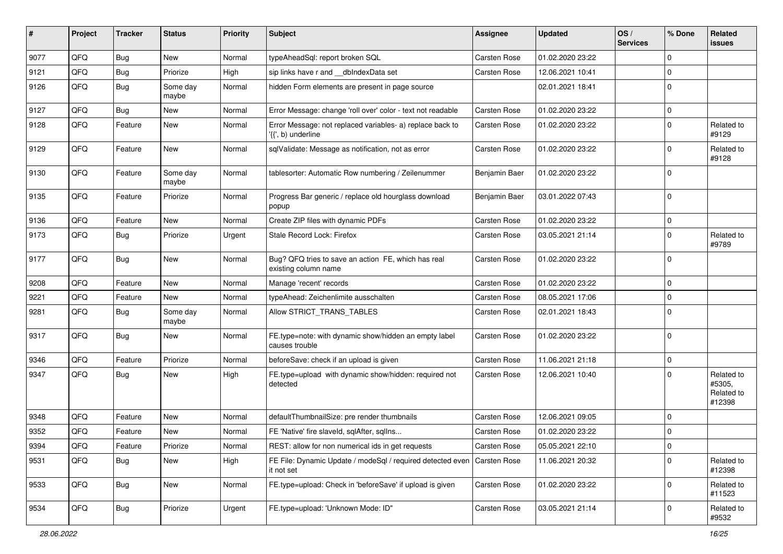| ∦    | Project | <b>Tracker</b> | <b>Status</b>     | <b>Priority</b> | <b>Subject</b>                                                                  | <b>Assignee</b>     | <b>Updated</b>   | OS/<br><b>Services</b> | % Done      | Related<br>issues                            |
|------|---------|----------------|-------------------|-----------------|---------------------------------------------------------------------------------|---------------------|------------------|------------------------|-------------|----------------------------------------------|
| 9077 | QFQ     | <b>Bug</b>     | <b>New</b>        | Normal          | typeAheadSql: report broken SQL                                                 | <b>Carsten Rose</b> | 01.02.2020 23:22 |                        | $\Omega$    |                                              |
| 9121 | QFQ     | Bug            | Priorize          | High            | sip links have r and __dbIndexData set                                          | <b>Carsten Rose</b> | 12.06.2021 10:41 |                        | 0           |                                              |
| 9126 | QFQ     | Bug            | Some day<br>maybe | Normal          | hidden Form elements are present in page source                                 |                     | 02.01.2021 18:41 |                        | $\Omega$    |                                              |
| 9127 | QFQ     | Bug            | <b>New</b>        | Normal          | Error Message: change 'roll over' color - text not readable                     | <b>Carsten Rose</b> | 01.02.2020 23:22 |                        | $\Omega$    |                                              |
| 9128 | QFQ     | Feature        | New               | Normal          | Error Message: not replaced variables- a) replace back to<br>'{{', b) underline | Carsten Rose        | 01.02.2020 23:22 |                        | $\Omega$    | Related to<br>#9129                          |
| 9129 | QFQ     | Feature        | <b>New</b>        | Normal          | sqlValidate: Message as notification, not as error                              | <b>Carsten Rose</b> | 01.02.2020 23:22 |                        | $\Omega$    | Related to<br>#9128                          |
| 9130 | QFQ     | Feature        | Some day<br>maybe | Normal          | tablesorter: Automatic Row numbering / Zeilenummer                              | Benjamin Baer       | 01.02.2020 23:22 |                        | $\Omega$    |                                              |
| 9135 | QFQ     | Feature        | Priorize          | Normal          | Progress Bar generic / replace old hourglass download<br>popup                  | Benjamin Baer       | 03.01.2022 07:43 |                        | $\mathbf 0$ |                                              |
| 9136 | QFQ     | Feature        | New               | Normal          | Create ZIP files with dynamic PDFs                                              | <b>Carsten Rose</b> | 01.02.2020 23:22 |                        | $\mathbf 0$ |                                              |
| 9173 | QFQ     | Bug            | Priorize          | Urgent          | Stale Record Lock: Firefox                                                      | Carsten Rose        | 03.05.2021 21:14 |                        | $\Omega$    | Related to<br>#9789                          |
| 9177 | QFQ     | <b>Bug</b>     | New               | Normal          | Bug? QFQ tries to save an action FE, which has real<br>existing column name     | <b>Carsten Rose</b> | 01.02.2020 23:22 |                        | $\mathbf 0$ |                                              |
| 9208 | QFQ     | Feature        | <b>New</b>        | Normal          | Manage 'recent' records                                                         | <b>Carsten Rose</b> | 01.02.2020 23:22 |                        | 0           |                                              |
| 9221 | QFQ     | Feature        | <b>New</b>        | Normal          | typeAhead: Zeichenlimite ausschalten                                            | <b>Carsten Rose</b> | 08.05.2021 17:06 |                        | $\Omega$    |                                              |
| 9281 | QFQ     | Bug            | Some day<br>maybe | Normal          | Allow STRICT_TRANS_TABLES                                                       | Carsten Rose        | 02.01.2021 18:43 |                        | $\Omega$    |                                              |
| 9317 | QFQ     | Bug            | <b>New</b>        | Normal          | FE.type=note: with dynamic show/hidden an empty label<br>causes trouble         | <b>Carsten Rose</b> | 01.02.2020 23:22 |                        | $\mathbf 0$ |                                              |
| 9346 | QFQ     | Feature        | Priorize          | Normal          | beforeSave: check if an upload is given                                         | <b>Carsten Rose</b> | 11.06.2021 21:18 |                        | $\mathbf 0$ |                                              |
| 9347 | QFQ     | Bug            | <b>New</b>        | High            | FE.type=upload with dynamic show/hidden: required not<br>detected               | <b>Carsten Rose</b> | 12.06.2021 10:40 |                        | $\Omega$    | Related to<br>#5305,<br>Related to<br>#12398 |
| 9348 | QFQ     | Feature        | <b>New</b>        | Normal          | defaultThumbnailSize: pre render thumbnails                                     | <b>Carsten Rose</b> | 12.06.2021 09:05 |                        | $\Omega$    |                                              |
| 9352 | QFQ     | Feature        | <b>New</b>        | Normal          | FE 'Native' fire slaveld, sqlAfter, sqlIns                                      | <b>Carsten Rose</b> | 01.02.2020 23:22 |                        | $\Omega$    |                                              |
| 9394 | QFQ     | Feature        | Priorize          | Normal          | REST: allow for non numerical ids in get requests                               | <b>Carsten Rose</b> | 05.05.2021 22:10 |                        | 0           |                                              |
| 9531 | QFQ     | Bug            | New               | High            | FE File: Dynamic Update / modeSql / required detected even<br>it not set        | <b>Carsten Rose</b> | 11.06.2021 20:32 |                        | $\mathbf 0$ | Related to<br>#12398                         |
| 9533 | QFQ     | Bug            | New               | Normal          | FE.type=upload: Check in 'beforeSave' if upload is given                        | Carsten Rose        | 01.02.2020 23:22 |                        | $\mathbf 0$ | Related to<br>#11523                         |
| 9534 | QFQ     | <b>Bug</b>     | Priorize          | Urgent          | FE.type=upload: 'Unknown Mode: ID"                                              | Carsten Rose        | 03.05.2021 21:14 |                        | 0           | Related to<br>#9532                          |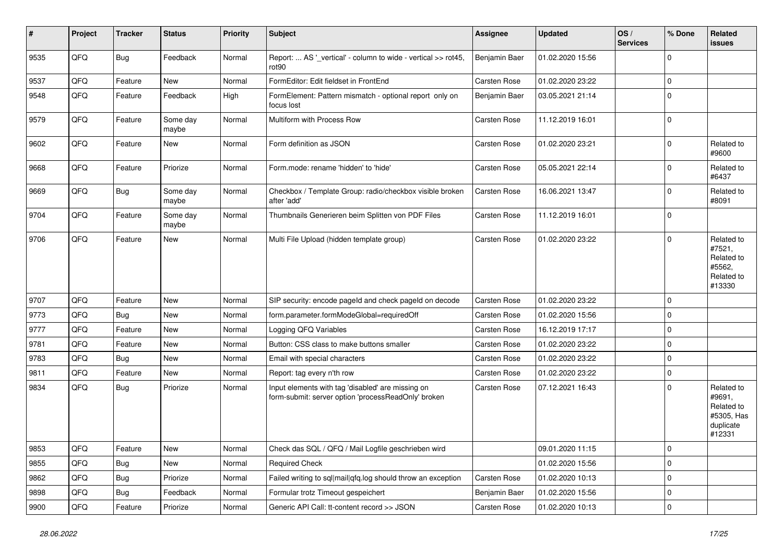| #    | Project | <b>Tracker</b> | <b>Status</b>     | <b>Priority</b> | <b>Subject</b>                                                                                           | <b>Assignee</b>     | Updated          | OS/<br><b>Services</b> | % Done      | Related<br><b>issues</b>                                                |
|------|---------|----------------|-------------------|-----------------|----------------------------------------------------------------------------------------------------------|---------------------|------------------|------------------------|-------------|-------------------------------------------------------------------------|
| 9535 | QFQ     | Bug            | Feedback          | Normal          | Report:  AS '_vertical' - column to wide - vertical >> rot45,<br>rot <sub>90</sub>                       | Benjamin Baer       | 01.02.2020 15:56 |                        | $\Omega$    |                                                                         |
| 9537 | QFQ     | Feature        | New               | Normal          | FormEditor: Edit fieldset in FrontEnd                                                                    | Carsten Rose        | 01.02.2020 23:22 |                        | $\mathbf 0$ |                                                                         |
| 9548 | QFQ     | Feature        | Feedback          | High            | FormElement: Pattern mismatch - optional report only on<br>focus lost                                    | Benjamin Baer       | 03.05.2021 21:14 |                        | $\Omega$    |                                                                         |
| 9579 | QFQ     | Feature        | Some day<br>maybe | Normal          | Multiform with Process Row                                                                               | <b>Carsten Rose</b> | 11.12.2019 16:01 |                        | $\Omega$    |                                                                         |
| 9602 | QFQ     | Feature        | New               | Normal          | Form definition as JSON                                                                                  | Carsten Rose        | 01.02.2020 23:21 |                        | $\Omega$    | Related to<br>#9600                                                     |
| 9668 | QFQ     | Feature        | Priorize          | Normal          | Form.mode: rename 'hidden' to 'hide'                                                                     | Carsten Rose        | 05.05.2021 22:14 |                        | $\Omega$    | Related to<br>#6437                                                     |
| 9669 | QFQ     | Bug            | Some day<br>maybe | Normal          | Checkbox / Template Group: radio/checkbox visible broken<br>after 'add'                                  | Carsten Rose        | 16.06.2021 13:47 |                        | $\Omega$    | Related to<br>#8091                                                     |
| 9704 | QFQ     | Feature        | Some day<br>maybe | Normal          | Thumbnails Generieren beim Splitten von PDF Files                                                        | Carsten Rose        | 11.12.2019 16:01 |                        | $\mathbf 0$ |                                                                         |
| 9706 | QFQ     | Feature        | <b>New</b>        | Normal          | Multi File Upload (hidden template group)                                                                | <b>Carsten Rose</b> | 01.02.2020 23:22 |                        | $\Omega$    | Related to<br>#7521,<br>Related to<br>#5562,<br>Related to<br>#13330    |
| 9707 | QFQ     | Feature        | <b>New</b>        | Normal          | SIP security: encode pageld and check pageld on decode                                                   | Carsten Rose        | 01.02.2020 23:22 |                        | $\Omega$    |                                                                         |
| 9773 | QFQ     | Bug            | <b>New</b>        | Normal          | form.parameter.formModeGlobal=requiredOff                                                                | <b>Carsten Rose</b> | 01.02.2020 15:56 |                        | $\mathbf 0$ |                                                                         |
| 9777 | QFQ     | Feature        | New               | Normal          | Logging QFQ Variables                                                                                    | <b>Carsten Rose</b> | 16.12.2019 17:17 |                        | $\mathbf 0$ |                                                                         |
| 9781 | QFQ     | Feature        | New               | Normal          | Button: CSS class to make buttons smaller                                                                | Carsten Rose        | 01.02.2020 23:22 |                        | $\Omega$    |                                                                         |
| 9783 | QFQ     | Bug            | <b>New</b>        | Normal          | Email with special characters                                                                            | Carsten Rose        | 01.02.2020 23:22 |                        | $\Omega$    |                                                                         |
| 9811 | QFQ     | Feature        | <b>New</b>        | Normal          | Report: tag every n'th row                                                                               | <b>Carsten Rose</b> | 01.02.2020 23:22 |                        | $\mathbf 0$ |                                                                         |
| 9834 | QFQ     | Bug            | Priorize          | Normal          | Input elements with tag 'disabled' are missing on<br>form-submit: server option 'processReadOnly' broken | Carsten Rose        | 07.12.2021 16:43 |                        | $\Omega$    | Related to<br>#9691,<br>Related to<br>#5305, Has<br>duplicate<br>#12331 |
| 9853 | QFQ     | Feature        | New               | Normal          | Check das SQL / QFQ / Mail Logfile geschrieben wird                                                      |                     | 09.01.2020 11:15 |                        | 0           |                                                                         |
| 9855 | QFQ     | Bug            | New               | Normal          | <b>Required Check</b>                                                                                    |                     | 01.02.2020 15:56 |                        | 0           |                                                                         |
| 9862 | QFQ     | <b>Bug</b>     | Priorize          | Normal          | Failed writing to sql mail qfq.log should throw an exception                                             | Carsten Rose        | 01.02.2020 10:13 |                        | $\mathbf 0$ |                                                                         |
| 9898 | QFQ     | Bug            | Feedback          | Normal          | Formular trotz Timeout gespeichert                                                                       | Benjamin Baer       | 01.02.2020 15:56 |                        | 0           |                                                                         |
| 9900 | QFG     | Feature        | Priorize          | Normal          | Generic API Call: tt-content record >> JSON                                                              | Carsten Rose        | 01.02.2020 10:13 |                        | 0           |                                                                         |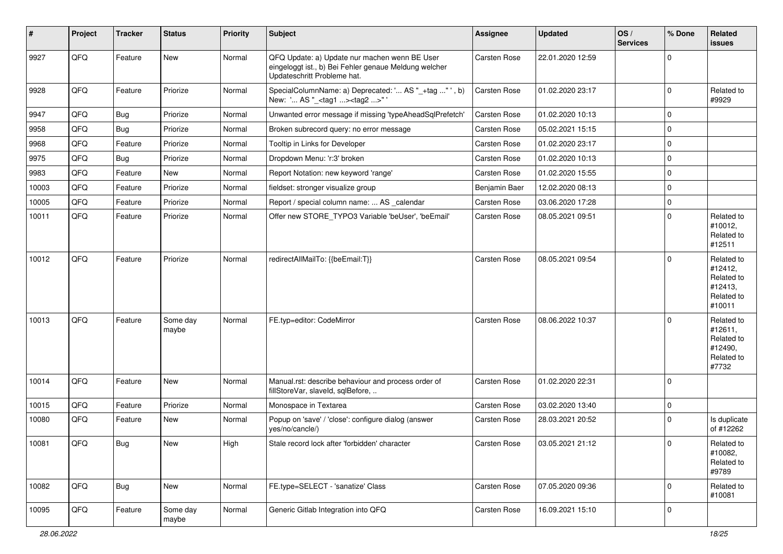| #     | Project | <b>Tracker</b> | <b>Status</b>     | <b>Priority</b> | Subject                                                                                                                               | <b>Assignee</b>     | <b>Updated</b>   | OS/<br><b>Services</b> | % Done      | Related<br>issues                                                      |
|-------|---------|----------------|-------------------|-----------------|---------------------------------------------------------------------------------------------------------------------------------------|---------------------|------------------|------------------------|-------------|------------------------------------------------------------------------|
| 9927  | QFQ     | Feature        | New               | Normal          | QFQ Update: a) Update nur machen wenn BE User<br>eingeloggt ist., b) Bei Fehler genaue Meldung welcher<br>Updateschritt Probleme hat. | Carsten Rose        | 22.01.2020 12:59 |                        | $\Omega$    |                                                                        |
| 9928  | QFQ     | Feature        | Priorize          | Normal          | SpecialColumnName: a) Deprecated: ' AS "_+tag " ', b)<br>New: ' AS "_ <tag1><tag2>" '</tag2></tag1>                                   | Carsten Rose        | 01.02.2020 23:17 |                        | $\mathbf 0$ | Related to<br>#9929                                                    |
| 9947  | QFQ     | Bug            | Priorize          | Normal          | Unwanted error message if missing 'typeAheadSqlPrefetch'                                                                              | Carsten Rose        | 01.02.2020 10:13 |                        | $\mathbf 0$ |                                                                        |
| 9958  | QFQ     | <b>Bug</b>     | Priorize          | Normal          | Broken subrecord query: no error message                                                                                              | <b>Carsten Rose</b> | 05.02.2021 15:15 |                        | $\mathbf 0$ |                                                                        |
| 9968  | QFQ     | Feature        | Priorize          | Normal          | Tooltip in Links for Developer                                                                                                        | Carsten Rose        | 01.02.2020 23:17 |                        | $\Omega$    |                                                                        |
| 9975  | QFQ     | Bug            | Priorize          | Normal          | Dropdown Menu: 'r:3' broken                                                                                                           | <b>Carsten Rose</b> | 01.02.2020 10:13 |                        | $\mathbf 0$ |                                                                        |
| 9983  | QFQ     | Feature        | New               | Normal          | Report Notation: new keyword 'range'                                                                                                  | <b>Carsten Rose</b> | 01.02.2020 15:55 |                        | $\mathbf 0$ |                                                                        |
| 10003 | QFQ     | Feature        | Priorize          | Normal          | fieldset: stronger visualize group                                                                                                    | Benjamin Baer       | 12.02.2020 08:13 |                        | $\Omega$    |                                                                        |
| 10005 | QFQ     | Feature        | Priorize          | Normal          | Report / special column name:  AS _calendar                                                                                           | Carsten Rose        | 03.06.2020 17:28 |                        | $\mathbf 0$ |                                                                        |
| 10011 | QFQ     | Feature        | Priorize          | Normal          | Offer new STORE_TYPO3 Variable 'beUser', 'beEmail'                                                                                    | <b>Carsten Rose</b> | 08.05.2021 09:51 |                        | $\Omega$    | Related to<br>#10012,<br>Related to<br>#12511                          |
| 10012 | QFQ     | Feature        | Priorize          | Normal          | redirectAllMailTo: {{beEmail:T}}                                                                                                      | <b>Carsten Rose</b> | 08.05.2021 09:54 |                        | $\mathbf 0$ | Related to<br>#12412,<br>Related to<br>#12413,<br>Related to<br>#10011 |
| 10013 | QFQ     | Feature        | Some day<br>maybe | Normal          | FE.typ=editor: CodeMirror                                                                                                             | <b>Carsten Rose</b> | 08.06.2022 10:37 |                        | $\Omega$    | Related to<br>#12611,<br>Related to<br>#12490,<br>Related to<br>#7732  |
| 10014 | QFQ     | Feature        | New               | Normal          | Manual.rst: describe behaviour and process order of<br>fillStoreVar, slaveId, sqlBefore,                                              | <b>Carsten Rose</b> | 01.02.2020 22:31 |                        | 0           |                                                                        |
| 10015 | QFQ     | Feature        | Priorize          | Normal          | Monospace in Textarea                                                                                                                 | <b>Carsten Rose</b> | 03.02.2020 13:40 |                        | $\mathbf 0$ |                                                                        |
| 10080 | QFQ     | Feature        | New               | Normal          | Popup on 'save' / 'close': configure dialog (answer<br>yes/no/cancle/)                                                                | <b>Carsten Rose</b> | 28.03.2021 20:52 |                        | $\Omega$    | Is duplicate<br>of #12262                                              |
| 10081 | QFQ     | Bug            | New               | High            | Stale record lock after 'forbidden' character                                                                                         | Carsten Rose        | 03.05.2021 21:12 |                        | 0           | Related to<br>#10082,<br>Related to<br>#9789                           |
| 10082 | QFQ     | <b>Bug</b>     | New               | Normal          | FE.type=SELECT - 'sanatize' Class                                                                                                     | Carsten Rose        | 07.05.2020 09:36 |                        | $\mathbf 0$ | Related to<br>#10081                                                   |
| 10095 | QFQ     | Feature        | Some day<br>maybe | Normal          | Generic Gitlab Integration into QFQ                                                                                                   | Carsten Rose        | 16.09.2021 15:10 |                        | 0           |                                                                        |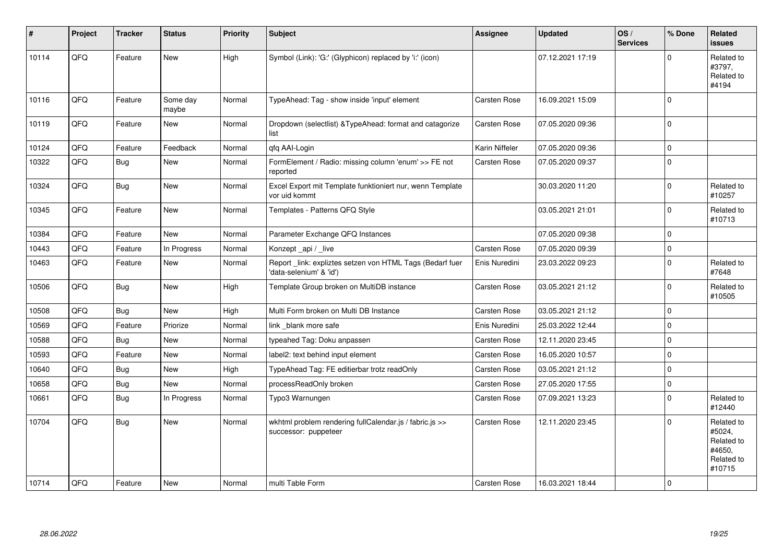| #     | Project | <b>Tracker</b> | <b>Status</b>     | <b>Priority</b> | Subject                                                                              | <b>Assignee</b>     | <b>Updated</b>   | OS/<br><b>Services</b> | % Done      | Related<br><b>issues</b>                                             |
|-------|---------|----------------|-------------------|-----------------|--------------------------------------------------------------------------------------|---------------------|------------------|------------------------|-------------|----------------------------------------------------------------------|
| 10114 | QFQ     | Feature        | <b>New</b>        | High            | Symbol (Link): 'G:' (Glyphicon) replaced by 'i:' (icon)                              |                     | 07.12.2021 17:19 |                        | $\Omega$    | Related to<br>#3797,<br>Related to<br>#4194                          |
| 10116 | QFQ     | Feature        | Some day<br>maybe | Normal          | TypeAhead: Tag - show inside 'input' element                                         | Carsten Rose        | 16.09.2021 15:09 |                        | $\Omega$    |                                                                      |
| 10119 | QFQ     | Feature        | New               | Normal          | Dropdown (selectlist) & Type Ahead: format and catagorize<br>list                    | <b>Carsten Rose</b> | 07.05.2020 09:36 |                        | $\mathbf 0$ |                                                                      |
| 10124 | QFQ     | Feature        | Feedback          | Normal          | qfq AAI-Login                                                                        | Karin Niffeler      | 07.05.2020 09:36 |                        | $\mathbf 0$ |                                                                      |
| 10322 | QFQ     | Bug            | New               | Normal          | FormElement / Radio: missing column 'enum' >> FE not<br>reported                     | <b>Carsten Rose</b> | 07.05.2020 09:37 |                        | 0           |                                                                      |
| 10324 | QFQ     | Bug            | <b>New</b>        | Normal          | Excel Export mit Template funktioniert nur, wenn Template<br>vor uid kommt           |                     | 30.03.2020 11:20 |                        | 0 I         | Related to<br>#10257                                                 |
| 10345 | QFQ     | Feature        | <b>New</b>        | Normal          | Templates - Patterns QFQ Style                                                       |                     | 03.05.2021 21:01 |                        | $\Omega$    | Related to<br>#10713                                                 |
| 10384 | QFQ     | Feature        | New               | Normal          | Parameter Exchange QFQ Instances                                                     |                     | 07.05.2020 09:38 |                        | $\Omega$    |                                                                      |
| 10443 | QFQ     | Feature        | In Progress       | Normal          | Konzept_api / _live                                                                  | <b>Carsten Rose</b> | 07.05.2020 09:39 |                        | 0 I         |                                                                      |
| 10463 | QFQ     | Feature        | New               | Normal          | Report _link: expliztes setzen von HTML Tags (Bedarf fuer<br>'data-selenium' & 'id') | Enis Nuredini       | 23.03.2022 09:23 |                        | $\Omega$    | Related to<br>#7648                                                  |
| 10506 | QFQ     | Bug            | New               | High            | Template Group broken on MultiDB instance                                            | <b>Carsten Rose</b> | 03.05.2021 21:12 |                        | $\Omega$    | Related to<br>#10505                                                 |
| 10508 | QFQ     | <b>Bug</b>     | <b>New</b>        | High            | Multi Form broken on Multi DB Instance                                               | <b>Carsten Rose</b> | 03.05.2021 21:12 |                        | 0           |                                                                      |
| 10569 | QFQ     | Feature        | Priorize          | Normal          | link blank more safe                                                                 | Enis Nuredini       | 25.03.2022 12:44 |                        | $\Omega$    |                                                                      |
| 10588 | QFQ     | <b>Bug</b>     | New               | Normal          | typeahed Tag: Doku anpassen                                                          | <b>Carsten Rose</b> | 12.11.2020 23:45 |                        | $\Omega$    |                                                                      |
| 10593 | QFQ     | Feature        | <b>New</b>        | Normal          | label2: text behind input element                                                    | <b>Carsten Rose</b> | 16.05.2020 10:57 |                        | $\mathbf 0$ |                                                                      |
| 10640 | QFQ     | <b>Bug</b>     | New               | High            | TypeAhead Tag: FE editierbar trotz readOnly                                          | <b>Carsten Rose</b> | 03.05.2021 21:12 |                        | $\Omega$    |                                                                      |
| 10658 | QFQ     | <b>Bug</b>     | <b>New</b>        | Normal          | processReadOnly broken                                                               | Carsten Rose        | 27.05.2020 17:55 |                        | $\Omega$    |                                                                      |
| 10661 | QFQ     | <b>Bug</b>     | In Progress       | Normal          | Typo3 Warnungen                                                                      | Carsten Rose        | 07.09.2021 13:23 |                        | $\Omega$    | Related to<br>#12440                                                 |
| 10704 | QFQ     | Bug            | New               | Normal          | wkhtml problem rendering fullCalendar.js / fabric.js >><br>successor: puppeteer      | <b>Carsten Rose</b> | 12.11.2020 23:45 |                        | $\Omega$    | Related to<br>#5024,<br>Related to<br>#4650,<br>Related to<br>#10715 |
| 10714 | QFQ     | Feature        | New               | Normal          | multi Table Form                                                                     | Carsten Rose        | 16.03.2021 18:44 |                        | $\Omega$    |                                                                      |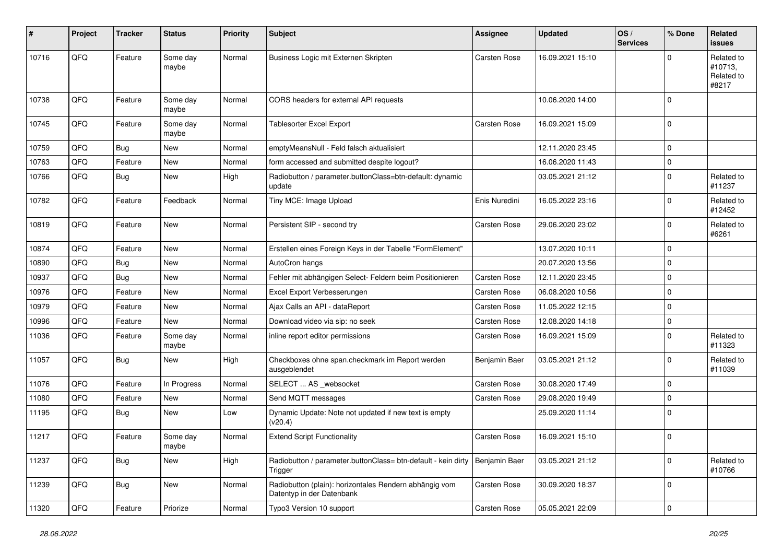| $\sharp$ | Project | <b>Tracker</b> | <b>Status</b>     | <b>Priority</b> | <b>Subject</b>                                                                      | <b>Assignee</b>     | <b>Updated</b>   | OS/<br><b>Services</b> | % Done      | Related<br><b>issues</b>                     |
|----------|---------|----------------|-------------------|-----------------|-------------------------------------------------------------------------------------|---------------------|------------------|------------------------|-------------|----------------------------------------------|
| 10716    | QFQ     | Feature        | Some day<br>maybe | Normal          | Business Logic mit Externen Skripten                                                | Carsten Rose        | 16.09.2021 15:10 |                        | O           | Related to<br>#10713,<br>Related to<br>#8217 |
| 10738    | QFQ     | Feature        | Some day<br>maybe | Normal          | CORS headers for external API requests                                              |                     | 10.06.2020 14:00 |                        | $\Omega$    |                                              |
| 10745    | QFQ     | Feature        | Some day<br>maybe | Normal          | <b>Tablesorter Excel Export</b>                                                     | <b>Carsten Rose</b> | 16.09.2021 15:09 |                        | $\Omega$    |                                              |
| 10759    | QFQ     | <b>Bug</b>     | <b>New</b>        | Normal          | emptyMeansNull - Feld falsch aktualisiert                                           |                     | 12.11.2020 23:45 |                        | $\mathbf 0$ |                                              |
| 10763    | QFQ     | Feature        | New               | Normal          | form accessed and submitted despite logout?                                         |                     | 16.06.2020 11:43 |                        | 0           |                                              |
| 10766    | QFQ     | Bug            | <b>New</b>        | High            | Radiobutton / parameter.buttonClass=btn-default: dynamic<br>update                  |                     | 03.05.2021 21:12 |                        | $\Omega$    | Related to<br>#11237                         |
| 10782    | QFQ     | Feature        | Feedback          | Normal          | Tiny MCE: Image Upload                                                              | Enis Nuredini       | 16.05.2022 23:16 |                        | $\Omega$    | Related to<br>#12452                         |
| 10819    | QFQ     | Feature        | New               | Normal          | Persistent SIP - second try                                                         | <b>Carsten Rose</b> | 29.06.2020 23:02 |                        | $\Omega$    | Related to<br>#6261                          |
| 10874    | QFQ     | Feature        | <b>New</b>        | Normal          | Erstellen eines Foreign Keys in der Tabelle "FormElement"                           |                     | 13.07.2020 10:11 |                        | $\mathbf 0$ |                                              |
| 10890    | QFQ     | Bug            | <b>New</b>        | Normal          | AutoCron hangs                                                                      |                     | 20.07.2020 13:56 |                        | $\mathbf 0$ |                                              |
| 10937    | QFQ     | Bug            | New               | Normal          | Fehler mit abhängigen Select- Feldern beim Positionieren                            | <b>Carsten Rose</b> | 12.11.2020 23:45 |                        | $\Omega$    |                                              |
| 10976    | QFQ     | Feature        | <b>New</b>        | Normal          | Excel Export Verbesserungen                                                         | <b>Carsten Rose</b> | 06.08.2020 10:56 |                        | $\Omega$    |                                              |
| 10979    | QFQ     | Feature        | <b>New</b>        | Normal          | Ajax Calls an API - dataReport                                                      | <b>Carsten Rose</b> | 11.05.2022 12:15 |                        | $\mathbf 0$ |                                              |
| 10996    | QFQ     | Feature        | New               | Normal          | Download video via sip: no seek                                                     | Carsten Rose        | 12.08.2020 14:18 |                        | $\Omega$    |                                              |
| 11036    | QFQ     | Feature        | Some day<br>maybe | Normal          | inline report editor permissions                                                    | <b>Carsten Rose</b> | 16.09.2021 15:09 |                        | $\Omega$    | Related to<br>#11323                         |
| 11057    | QFQ     | Bug            | <b>New</b>        | High            | Checkboxes ohne span.checkmark im Report werden<br>ausgeblendet                     | Benjamin Baer       | 03.05.2021 21:12 |                        | $\Omega$    | Related to<br>#11039                         |
| 11076    | QFQ     | Feature        | In Progress       | Normal          | SELECT  AS _websocket                                                               | <b>Carsten Rose</b> | 30.08.2020 17:49 |                        | $\Omega$    |                                              |
| 11080    | QFQ     | Feature        | <b>New</b>        | Normal          | Send MQTT messages                                                                  | <b>Carsten Rose</b> | 29.08.2020 19:49 |                        | $\Omega$    |                                              |
| 11195    | QFQ     | Bug            | <b>New</b>        | Low             | Dynamic Update: Note not updated if new text is empty<br>(v20.4)                    |                     | 25.09.2020 11:14 |                        | $\Omega$    |                                              |
| 11217    | QFQ     | Feature        | Some day<br>maybe | Normal          | <b>Extend Script Functionality</b>                                                  | <b>Carsten Rose</b> | 16.09.2021 15:10 |                        | 0           |                                              |
| 11237    | QFQ     | <b>Bug</b>     | New               | High            | Radiobutton / parameter.buttonClass= btn-default - kein dirty<br>Trigger            | Benjamin Baer       | 03.05.2021 21:12 |                        | $\mathbf 0$ | Related to<br>#10766                         |
| 11239    | QFQ     | Bug            | New               | Normal          | Radiobutton (plain): horizontales Rendern abhängig vom<br>Datentyp in der Datenbank | Carsten Rose        | 30.09.2020 18:37 |                        | $\mathbf 0$ |                                              |
| 11320    | QFQ     | Feature        | Priorize          | Normal          | Typo3 Version 10 support                                                            | Carsten Rose        | 05.05.2021 22:09 |                        | $\mathbf 0$ |                                              |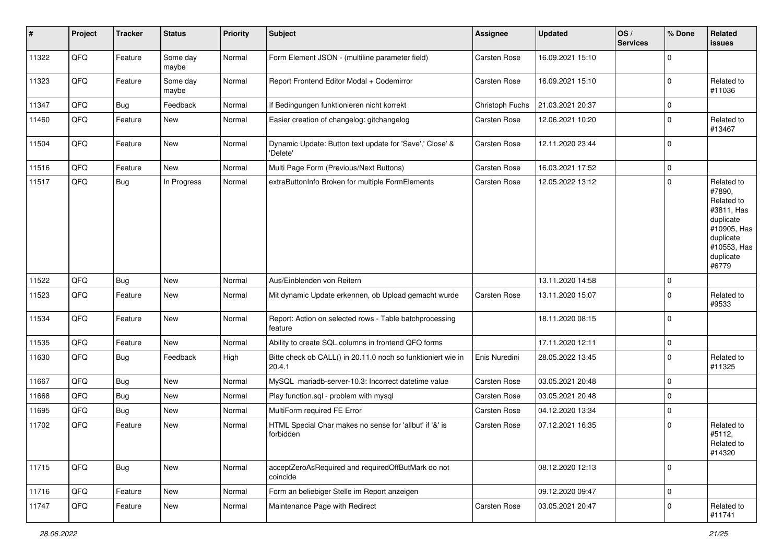| #     | Project | <b>Tracker</b> | <b>Status</b>     | <b>Priority</b> | Subject                                                                | <b>Assignee</b>     | <b>Updated</b>   | OS/<br><b>Services</b> | % Done      | Related<br>issues                                                                                                              |
|-------|---------|----------------|-------------------|-----------------|------------------------------------------------------------------------|---------------------|------------------|------------------------|-------------|--------------------------------------------------------------------------------------------------------------------------------|
| 11322 | QFQ     | Feature        | Some day<br>maybe | Normal          | Form Element JSON - (multiline parameter field)                        | Carsten Rose        | 16.09.2021 15:10 |                        | 0           |                                                                                                                                |
| 11323 | QFQ     | Feature        | Some day<br>maybe | Normal          | Report Frontend Editor Modal + Codemirror                              | Carsten Rose        | 16.09.2021 15:10 |                        | $\Omega$    | Related to<br>#11036                                                                                                           |
| 11347 | QFQ     | Bug            | Feedback          | Normal          | If Bedingungen funktionieren nicht korrekt                             | Christoph Fuchs     | 21.03.2021 20:37 |                        | 0           |                                                                                                                                |
| 11460 | QFQ     | Feature        | New               | Normal          | Easier creation of changelog: gitchangelog                             | <b>Carsten Rose</b> | 12.06.2021 10:20 |                        | $\Omega$    | Related to<br>#13467                                                                                                           |
| 11504 | QFQ     | Feature        | New               | Normal          | Dynamic Update: Button text update for 'Save',' Close' &<br>'Delete'   | Carsten Rose        | 12.11.2020 23:44 |                        | $\Omega$    |                                                                                                                                |
| 11516 | QFQ     | Feature        | <b>New</b>        | Normal          | Multi Page Form (Previous/Next Buttons)                                | Carsten Rose        | 16.03.2021 17:52 |                        | $\mathbf 0$ |                                                                                                                                |
| 11517 | QFG     | Bug            | In Progress       | Normal          | extraButtonInfo Broken for multiple FormElements                       | <b>Carsten Rose</b> | 12.05.2022 13:12 |                        | $\Omega$    | Related to<br>#7890,<br>Related to<br>#3811, Has<br>duplicate<br>#10905, Has<br>duplicate<br>#10553, Has<br>duplicate<br>#6779 |
| 11522 | QFQ     | Bug            | <b>New</b>        | Normal          | Aus/Einblenden von Reitern                                             |                     | 13.11.2020 14:58 |                        | $\mathbf 0$ |                                                                                                                                |
| 11523 | QFQ     | Feature        | <b>New</b>        | Normal          | Mit dynamic Update erkennen, ob Upload gemacht wurde                   | <b>Carsten Rose</b> | 13.11.2020 15:07 |                        | $\Omega$    | Related to<br>#9533                                                                                                            |
| 11534 | QFQ     | Feature        | New               | Normal          | Report: Action on selected rows - Table batchprocessing<br>feature     |                     | 18.11.2020 08:15 |                        | $\Omega$    |                                                                                                                                |
| 11535 | QFQ     | Feature        | <b>New</b>        | Normal          | Ability to create SQL columns in frontend QFQ forms                    |                     | 17.11.2020 12:11 |                        | $\mathbf 0$ |                                                                                                                                |
| 11630 | QFQ     | Bug            | Feedback          | High            | Bitte check ob CALL() in 20.11.0 noch so funktioniert wie in<br>20.4.1 | Enis Nuredini       | 28.05.2022 13:45 |                        | $\Omega$    | Related to<br>#11325                                                                                                           |
| 11667 | QFQ     | Bug            | <b>New</b>        | Normal          | MySQL mariadb-server-10.3: Incorrect datetime value                    | <b>Carsten Rose</b> | 03.05.2021 20:48 |                        | $\Omega$    |                                                                                                                                |
| 11668 | QFQ     | Bug            | New               | Normal          | Play function.sql - problem with mysql                                 | Carsten Rose        | 03.05.2021 20:48 |                        | $\mathbf 0$ |                                                                                                                                |
| 11695 | QFQ     | Bug            | New               | Normal          | MultiForm required FE Error                                            | Carsten Rose        | 04.12.2020 13:34 |                        | $\mathbf 0$ |                                                                                                                                |
| 11702 | QFQ     | Feature        | New               | Normal          | HTML Special Char makes no sense for 'allbut' if '&' is<br>forbidden   | <b>Carsten Rose</b> | 07.12.2021 16:35 |                        | $\mathbf 0$ | Related to<br>#5112,<br>Related to<br>#14320                                                                                   |
| 11715 | QFG     | <b>Bug</b>     | New               | Normal          | acceptZeroAsRequired and requiredOffButMark do not<br>coincide         |                     | 08.12.2020 12:13 |                        | $\Omega$    |                                                                                                                                |
| 11716 | QFQ     | Feature        | New               | Normal          | Form an beliebiger Stelle im Report anzeigen                           |                     | 09.12.2020 09:47 |                        | $\mathbf 0$ |                                                                                                                                |
| 11747 | QFQ     | Feature        | New               | Normal          | Maintenance Page with Redirect                                         | Carsten Rose        | 03.05.2021 20:47 |                        | $\mathbf 0$ | Related to<br>#11741                                                                                                           |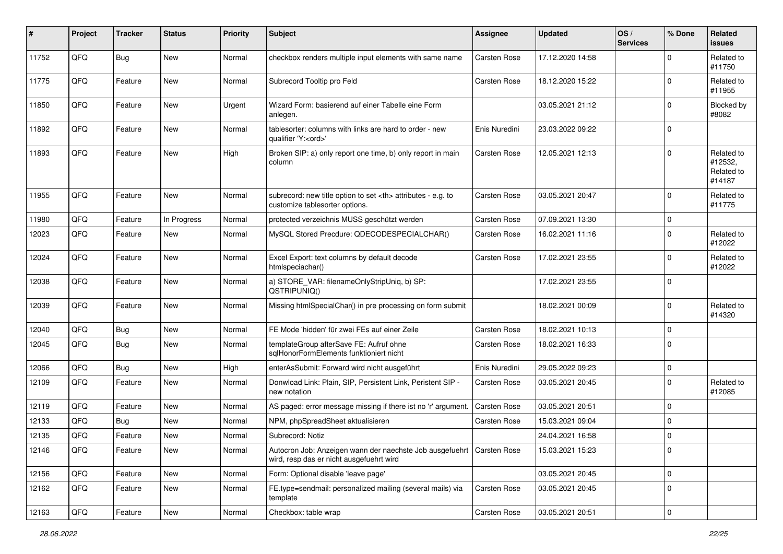| #     | Project | <b>Tracker</b> | <b>Status</b> | <b>Priority</b> | <b>Subject</b>                                                                                                      | <b>Assignee</b>                                        | <b>Updated</b>      | OS/<br><b>Services</b> | % Done      | Related<br><b>issues</b>                      |                      |
|-------|---------|----------------|---------------|-----------------|---------------------------------------------------------------------------------------------------------------------|--------------------------------------------------------|---------------------|------------------------|-------------|-----------------------------------------------|----------------------|
| 11752 | QFQ     | <b>Bug</b>     | New           | Normal          | checkbox renders multiple input elements with same name                                                             | <b>Carsten Rose</b>                                    | 17.12.2020 14:58    |                        | $\Omega$    | Related to<br>#11750                          |                      |
| 11775 | QFQ     | Feature        | New           | Normal          | Subrecord Tooltip pro Feld                                                                                          | <b>Carsten Rose</b>                                    | 18.12.2020 15:22    |                        | $\Omega$    | Related to<br>#11955                          |                      |
| 11850 | QFQ     | Feature        | New           | Urgent          | Wizard Form: basierend auf einer Tabelle eine Form<br>anlegen.                                                      |                                                        | 03.05.2021 21:12    |                        | $\Omega$    | Blocked by<br>#8082                           |                      |
| 11892 | QFQ     | Feature        | <b>New</b>    | Normal          | tablesorter: columns with links are hard to order - new<br>qualifier 'Y: <ord>'</ord>                               | Enis Nuredini                                          | 23.03.2022 09:22    |                        | $\mathbf 0$ |                                               |                      |
| 11893 | QFQ     | Feature        | New           | High            | Broken SIP: a) only report one time, b) only report in main<br>column                                               | <b>Carsten Rose</b>                                    | 12.05.2021 12:13    |                        | $\Omega$    | Related to<br>#12532,<br>Related to<br>#14187 |                      |
| 11955 | QFQ     | Feature        | New           | Normal          | subrecord: new title option to set <th> attributes - e.g. to<br/>customize tablesorter options.</th>                | attributes - e.g. to<br>customize tablesorter options. | <b>Carsten Rose</b> | 03.05.2021 20:47       |             | $\Omega$                                      | Related to<br>#11775 |
| 11980 | QFQ     | Feature        | In Progress   | Normal          | protected verzeichnis MUSS geschützt werden                                                                         | <b>Carsten Rose</b>                                    | 07.09.2021 13:30    |                        | $\mathbf 0$ |                                               |                      |
| 12023 | QFQ     | Feature        | New           | Normal          | MySQL Stored Precdure: QDECODESPECIALCHAR()                                                                         | <b>Carsten Rose</b>                                    | 16.02.2021 11:16    |                        | $\Omega$    | Related to<br>#12022                          |                      |
| 12024 | QFQ     | Feature        | New           | Normal          | Excel Export: text columns by default decode<br>htmlspeciachar()                                                    | <b>Carsten Rose</b>                                    | 17.02.2021 23:55    |                        | $\Omega$    | Related to<br>#12022                          |                      |
| 12038 | QFQ     | Feature        | New           | Normal          | a) STORE_VAR: filenameOnlyStripUniq, b) SP:<br>QSTRIPUNIQ()                                                         |                                                        | 17.02.2021 23:55    |                        | $\mathbf 0$ |                                               |                      |
| 12039 | QFQ     | Feature        | New           | Normal          | Missing htmlSpecialChar() in pre processing on form submit                                                          |                                                        | 18.02.2021 00:09    |                        | $\Omega$    | Related to<br>#14320                          |                      |
| 12040 | QFQ     | Bug            | New           | Normal          | FE Mode 'hidden' für zwei FEs auf einer Zeile                                                                       | <b>Carsten Rose</b>                                    | 18.02.2021 10:13    |                        | $\mathbf 0$ |                                               |                      |
| 12045 | QFQ     | <b>Bug</b>     | New           | Normal          | templateGroup afterSave FE: Aufruf ohne<br>sqlHonorFormElements funktioniert nicht                                  | Carsten Rose                                           | 18.02.2021 16:33    |                        | $\mathbf 0$ |                                               |                      |
| 12066 | QFQ     | <b>Bug</b>     | New           | High            | enterAsSubmit: Forward wird nicht ausgeführt                                                                        | Enis Nuredini                                          | 29.05.2022 09:23    |                        | $\mathbf 0$ |                                               |                      |
| 12109 | QFQ     | Feature        | New           | Normal          | Donwload Link: Plain, SIP, Persistent Link, Peristent SIP -<br>new notation                                         | Carsten Rose                                           | 03.05.2021 20:45    |                        | $\Omega$    | Related to<br>#12085                          |                      |
| 12119 | QFQ     | Feature        | New           | Normal          | AS paged: error message missing if there ist no 'r' argument.                                                       | Carsten Rose                                           | 03.05.2021 20:51    |                        | $\Omega$    |                                               |                      |
| 12133 | QFQ     | <b>Bug</b>     | New           | Normal          | NPM, phpSpreadSheet aktualisieren                                                                                   | <b>Carsten Rose</b>                                    | 15.03.2021 09:04    |                        | $\mathbf 0$ |                                               |                      |
| 12135 | QFQ     | Feature        | <b>New</b>    | Normal          | Subrecord: Notiz                                                                                                    |                                                        | 24.04.2021 16:58    |                        | $\mathbf 0$ |                                               |                      |
| 12146 | QFQ     | Feature        | New           | Normal          | Autocron Job: Anzeigen wann der naechste Job ausgefuehrt   Carsten Rose<br>wird, resp das er nicht ausgefuehrt wird |                                                        | 15.03.2021 15:23    |                        | 0           |                                               |                      |
| 12156 | QFQ     | Feature        | New           | Normal          | Form: Optional disable 'leave page'                                                                                 |                                                        | 03.05.2021 20:45    |                        | $\mathbf 0$ |                                               |                      |
| 12162 | QFQ     | Feature        | New           | Normal          | FE.type=sendmail: personalized mailing (several mails) via<br>template                                              | Carsten Rose                                           | 03.05.2021 20:45    |                        | $\mathbf 0$ |                                               |                      |
| 12163 | QFQ     | Feature        | New           | Normal          | Checkbox: table wrap                                                                                                | Carsten Rose                                           | 03.05.2021 20:51    |                        | $\mathbf 0$ |                                               |                      |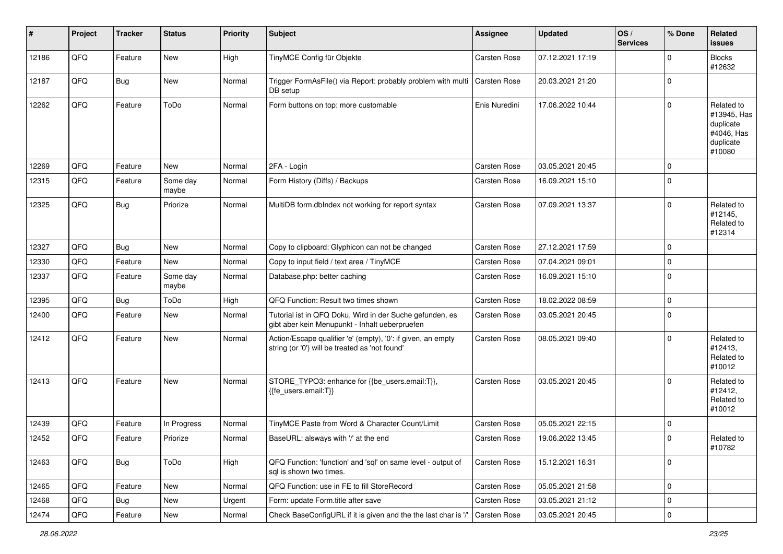| $\sharp$ | Project | <b>Tracker</b> | <b>Status</b>     | <b>Priority</b> | <b>Subject</b>                                                                                                 | <b>Assignee</b>     | <b>Updated</b>   | OS/<br><b>Services</b> | % Done      | Related<br><b>issues</b>                                                    |
|----------|---------|----------------|-------------------|-----------------|----------------------------------------------------------------------------------------------------------------|---------------------|------------------|------------------------|-------------|-----------------------------------------------------------------------------|
| 12186    | QFQ     | Feature        | New               | High            | TinyMCE Config für Objekte                                                                                     | Carsten Rose        | 07.12.2021 17:19 |                        | $\Omega$    | <b>Blocks</b><br>#12632                                                     |
| 12187    | QFQ     | Bug            | New               | Normal          | Trigger FormAsFile() via Report: probably problem with multi<br>DB setup                                       | <b>Carsten Rose</b> | 20.03.2021 21:20 |                        | 0           |                                                                             |
| 12262    | QFQ     | Feature        | ToDo              | Normal          | Form buttons on top: more customable                                                                           | Enis Nuredini       | 17.06.2022 10:44 |                        | $\Omega$    | Related to<br>#13945, Has<br>duplicate<br>#4046, Has<br>duplicate<br>#10080 |
| 12269    | QFQ     | Feature        | New               | Normal          | 2FA - Login                                                                                                    | Carsten Rose        | 03.05.2021 20:45 |                        | $\Omega$    |                                                                             |
| 12315    | QFQ     | Feature        | Some day<br>maybe | Normal          | Form History (Diffs) / Backups                                                                                 | <b>Carsten Rose</b> | 16.09.2021 15:10 |                        | $\mathbf 0$ |                                                                             |
| 12325    | QFQ     | Bug            | Priorize          | Normal          | MultiDB form.dblndex not working for report syntax                                                             | <b>Carsten Rose</b> | 07.09.2021 13:37 |                        | $\Omega$    | Related to<br>#12145,<br>Related to<br>#12314                               |
| 12327    | QFQ     | Bug            | New               | Normal          | Copy to clipboard: Glyphicon can not be changed                                                                | <b>Carsten Rose</b> | 27.12.2021 17:59 |                        | $\mathbf 0$ |                                                                             |
| 12330    | QFQ     | Feature        | New               | Normal          | Copy to input field / text area / TinyMCE                                                                      | <b>Carsten Rose</b> | 07.04.2021 09:01 |                        | $\mathbf 0$ |                                                                             |
| 12337    | QFQ     | Feature        | Some day<br>maybe | Normal          | Database.php: better caching                                                                                   | <b>Carsten Rose</b> | 16.09.2021 15:10 |                        | $\mathbf 0$ |                                                                             |
| 12395    | QFQ     | <b>Bug</b>     | ToDo              | High            | QFQ Function: Result two times shown                                                                           | <b>Carsten Rose</b> | 18.02.2022 08:59 |                        | $\Omega$    |                                                                             |
| 12400    | QFQ     | Feature        | <b>New</b>        | Normal          | Tutorial ist in QFQ Doku, Wird in der Suche gefunden, es<br>gibt aber kein Menupunkt - Inhalt ueberpruefen     | <b>Carsten Rose</b> | 03.05.2021 20:45 |                        | 0           |                                                                             |
| 12412    | QFQ     | Feature        | New               | Normal          | Action/Escape qualifier 'e' (empty), '0': if given, an empty<br>string (or '0') will be treated as 'not found' | <b>Carsten Rose</b> | 08.05.2021 09:40 |                        | $\Omega$    | Related to<br>#12413,<br>Related to<br>#10012                               |
| 12413    | QFQ     | Feature        | New               | Normal          | STORE_TYPO3: enhance for {{be_users.email:T}},<br>{{fe users.email:T}}                                         | <b>Carsten Rose</b> | 03.05.2021 20:45 |                        | $\Omega$    | Related to<br>#12412,<br>Related to<br>#10012                               |
| 12439    | QFQ     | Feature        | In Progress       | Normal          | TinyMCE Paste from Word & Character Count/Limit                                                                | <b>Carsten Rose</b> | 05.05.2021 22:15 |                        | $\mathbf 0$ |                                                                             |
| 12452    | QFQ     | Feature        | Priorize          | Normal          | BaseURL: alsways with '/' at the end                                                                           | Carsten Rose        | 19.06.2022 13:45 |                        | $\Omega$    | Related to<br>#10782                                                        |
| 12463    | QFQ     | <b>Bug</b>     | ToDo              | High            | QFQ Function: 'function' and 'sql' on same level - output of<br>sal is shown two times.                        | Carsten Rose        | 15.12.2021 16:31 |                        | $\mathbf 0$ |                                                                             |
| 12465    | QFQ     | Feature        | New               | Normal          | QFQ Function: use in FE to fill StoreRecord                                                                    | Carsten Rose        | 05.05.2021 21:58 |                        | $\mathbf 0$ |                                                                             |
| 12468    | QFQ     | <b>Bug</b>     | New               | Urgent          | Form: update Form.title after save                                                                             | Carsten Rose        | 03.05.2021 21:12 |                        | $\mathbf 0$ |                                                                             |
| 12474    | QFG     | Feature        | New               | Normal          | Check BaseConfigURL if it is given and the the last char is '/                                                 | Carsten Rose        | 03.05.2021 20:45 |                        | $\mathbf 0$ |                                                                             |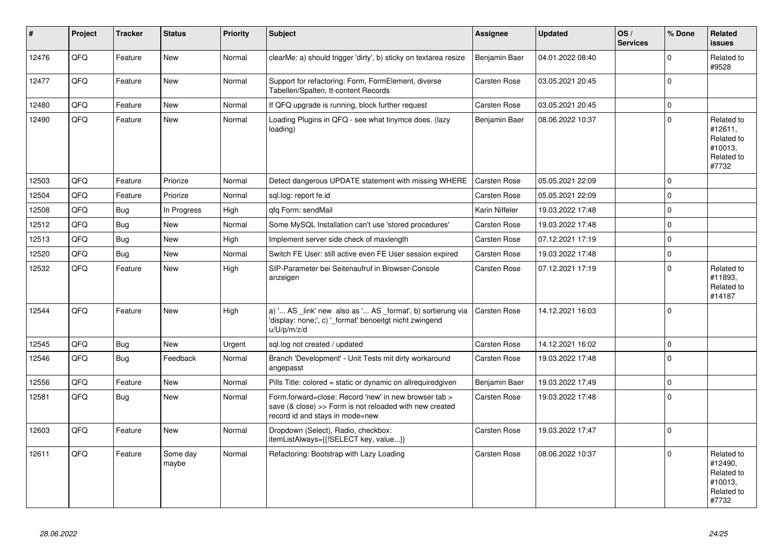| #     | Project | <b>Tracker</b> | <b>Status</b>     | <b>Priority</b> | <b>Subject</b>                                                                                                                                      | Assignee            | <b>Updated</b>   | OS/<br><b>Services</b> | % Done      | Related<br><b>issues</b>                                              |
|-------|---------|----------------|-------------------|-----------------|-----------------------------------------------------------------------------------------------------------------------------------------------------|---------------------|------------------|------------------------|-------------|-----------------------------------------------------------------------|
| 12476 | QFQ     | Feature        | New               | Normal          | clearMe: a) should trigger 'dirty', b) sticky on textarea resize                                                                                    | Benjamin Baer       | 04.01.2022 08:40 |                        | $\Omega$    | Related to<br>#9528                                                   |
| 12477 | QFQ     | Feature        | <b>New</b>        | Normal          | Support for refactoring: Form, FormElement, diverse<br>Tabellen/Spalten, tt-content Records                                                         | Carsten Rose        | 03.05.2021 20:45 |                        | $\Omega$    |                                                                       |
| 12480 | QFQ     | Feature        | New               | Normal          | If QFQ upgrade is running, block further request                                                                                                    | Carsten Rose        | 03.05.2021 20:45 |                        | $\mathbf 0$ |                                                                       |
| 12490 | QFQ     | Feature        | <b>New</b>        | Normal          | Loading Plugins in QFQ - see what tinymce does. (lazy<br>loading)                                                                                   | Benjamin Baer       | 08.06.2022 10:37 |                        | $\Omega$    | Related to<br>#12611,<br>Related to<br>#10013,<br>Related to<br>#7732 |
| 12503 | QFQ     | Feature        | Priorize          | Normal          | Detect dangerous UPDATE statement with missing WHERE                                                                                                | Carsten Rose        | 05.05.2021 22:09 |                        | $\Omega$    |                                                                       |
| 12504 | QFQ     | Feature        | Priorize          | Normal          | sql.log: report fe.id                                                                                                                               | Carsten Rose        | 05.05.2021 22:09 |                        | $\mathbf 0$ |                                                                       |
| 12508 | QFQ     | <b>Bug</b>     | In Progress       | High            | gfg Form: sendMail                                                                                                                                  | Karin Niffeler      | 19.03.2022 17:48 |                        | $\Omega$    |                                                                       |
| 12512 | QFQ     | <b>Bug</b>     | <b>New</b>        | Normal          | Some MySQL Installation can't use 'stored procedures'                                                                                               | Carsten Rose        | 19.03.2022 17:48 |                        | $\Omega$    |                                                                       |
| 12513 | QFQ     | <b>Bug</b>     | New               | High            | Implement server side check of maxlength                                                                                                            | Carsten Rose        | 07.12.2021 17:19 |                        | $\Omega$    |                                                                       |
| 12520 | QFQ     | Bug            | New               | Normal          | Switch FE User: still active even FE User session expired                                                                                           | Carsten Rose        | 19.03.2022 17:48 |                        | $\mathbf 0$ |                                                                       |
| 12532 | QFQ     | Feature        | <b>New</b>        | High            | SIP-Parameter bei Seitenaufruf in Browser-Console<br>anzeigen                                                                                       | <b>Carsten Rose</b> | 07.12.2021 17:19 |                        | $\Omega$    | Related to<br>#11893,<br>Related to<br>#14187                         |
| 12544 | QFQ     | Feature        | <b>New</b>        | High            | a) ' AS _link' new also as ' AS _format', b) sortierung via<br>'display: none;', c) ' format' benoeitgt nicht zwingend<br>u/U/p/m/z/d               | <b>Carsten Rose</b> | 14.12.2021 16:03 |                        | $\Omega$    |                                                                       |
| 12545 | QFQ     | Bug            | New               | Urgent          | sql.log not created / updated                                                                                                                       | <b>Carsten Rose</b> | 14.12.2021 16:02 |                        | $\mathbf 0$ |                                                                       |
| 12546 | QFQ     | Bug            | Feedback          | Normal          | Branch 'Development' - Unit Tests mit dirty workaround<br>angepasst                                                                                 | Carsten Rose        | 19.03.2022 17:48 |                        | $\Omega$    |                                                                       |
| 12556 | QFQ     | Feature        | <b>New</b>        | Normal          | Pills Title: colored = static or dynamic on allrequiredgiven                                                                                        | Benjamin Baer       | 19.03.2022 17:49 |                        | $\Omega$    |                                                                       |
| 12581 | QFQ     | Bug            | New               | Normal          | Form.forward=close: Record 'new' in new browser tab ><br>save (& close) >> Form is not reloaded with new created<br>record id and stays in mode=new | <b>Carsten Rose</b> | 19.03.2022 17:48 |                        | $\mathbf 0$ |                                                                       |
| 12603 | QFQ     | Feature        | <b>New</b>        | Normal          | Dropdown (Select), Radio, checkbox:<br>itemListAlways={{!SELECT key, value}}                                                                        | <b>Carsten Rose</b> | 19.03.2022 17:47 |                        | $\Omega$    |                                                                       |
| 12611 | QFQ     | Feature        | Some day<br>maybe | Normal          | Refactoring: Bootstrap with Lazy Loading                                                                                                            | Carsten Rose        | 08.06.2022 10:37 |                        | $\Omega$    | Related to<br>#12490,<br>Related to<br>#10013,<br>Related to<br>#7732 |